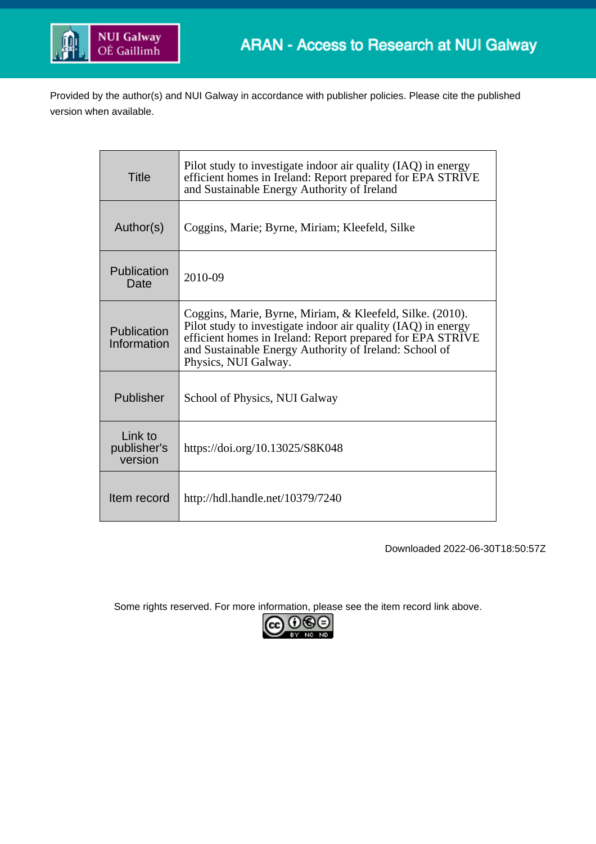

Provided by the author(s) and NUI Galway in accordance with publisher policies. Please cite the published version when available.

| <b>Title</b>                      | Pilot study to investigate indoor air quality (IAQ) in energy<br>efficient homes in Ireland: Report prepared for EPA STRIVE<br>and Sustainable Energy Authority of Ireland                                                                                                 |
|-----------------------------------|----------------------------------------------------------------------------------------------------------------------------------------------------------------------------------------------------------------------------------------------------------------------------|
| Author(s)                         | Coggins, Marie; Byrne, Miriam; Kleefeld, Silke                                                                                                                                                                                                                             |
| Publication<br>Date               | 2010-09                                                                                                                                                                                                                                                                    |
| Publication<br>Information        | Coggins, Marie, Byrne, Miriam, & Kleefeld, Silke. (2010).<br>Pilot study to investigate indoor air quality (IAQ) in energy<br>efficient homes in Ireland: Report prepared for EPA STRIVE<br>and Sustainable Energy Authority of Ireland: School of<br>Physics, NUI Galway. |
| Publisher                         | School of Physics, NUI Galway                                                                                                                                                                                                                                              |
| Link to<br>publisher's<br>version | https://doi.org/10.13025/S8K048                                                                                                                                                                                                                                            |
| Item record                       | http://hdl.handle.net/10379/7240                                                                                                                                                                                                                                           |

Downloaded 2022-06-30T18:50:57Z

Some rights reserved. For more information, please see the item record link above.

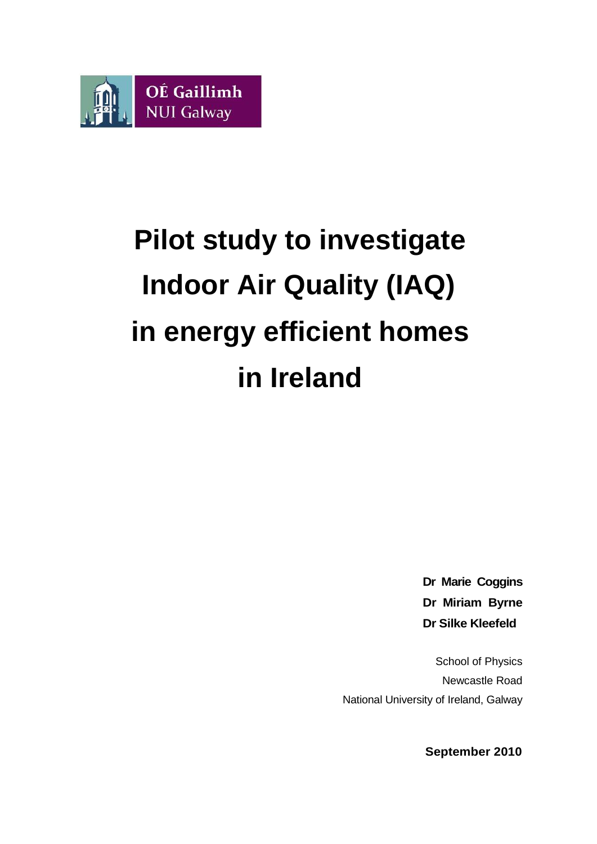

# **Pilot study to investigate Indoor Air Quality (IAQ) in energy efficient homes in Ireland**

**Dr Marie Coggins Dr Miriam Byrne Dr Silke Kleefeld**

School of Physics Newcastle Road National University of Ireland, Galway

**September 2010**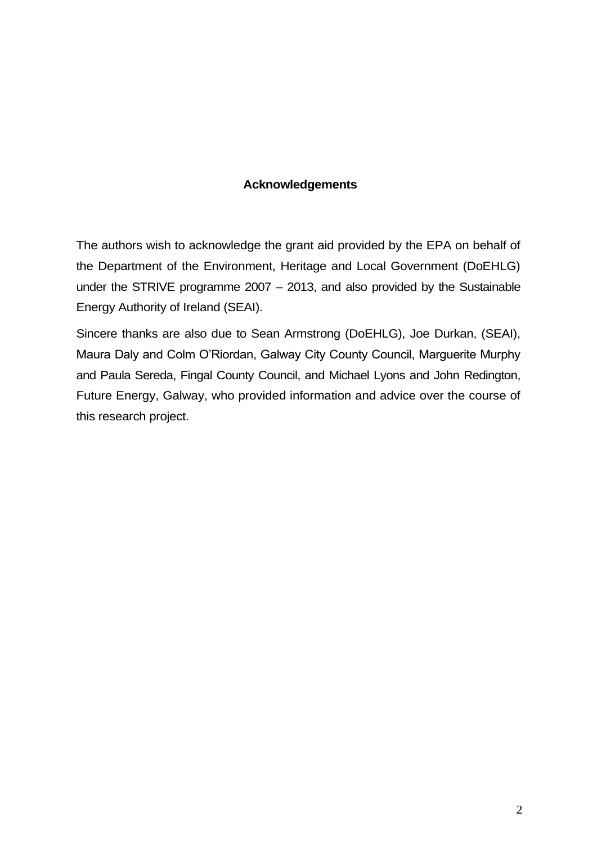### **Acknowledgements**

The authors wish to acknowledge the grant aid provided by the EPA on behalf of the Department of the Environment, Heritage and Local Government (DoEHLG) under the STRIVE programme 2007 – 2013, and also provided by the Sustainable Energy Authority of Ireland (SEAI).

Sincere thanks are also due to Sean Armstrong (DoEHLG), Joe Durkan, (SEAI), Maura Daly and Colm O'Riordan, Galway City County Council, Marguerite Murphy and Paula Sereda, Fingal County Council, and Michael Lyons and John Redington, Future Energy, Galway, who provided information and advice over the course of this research project.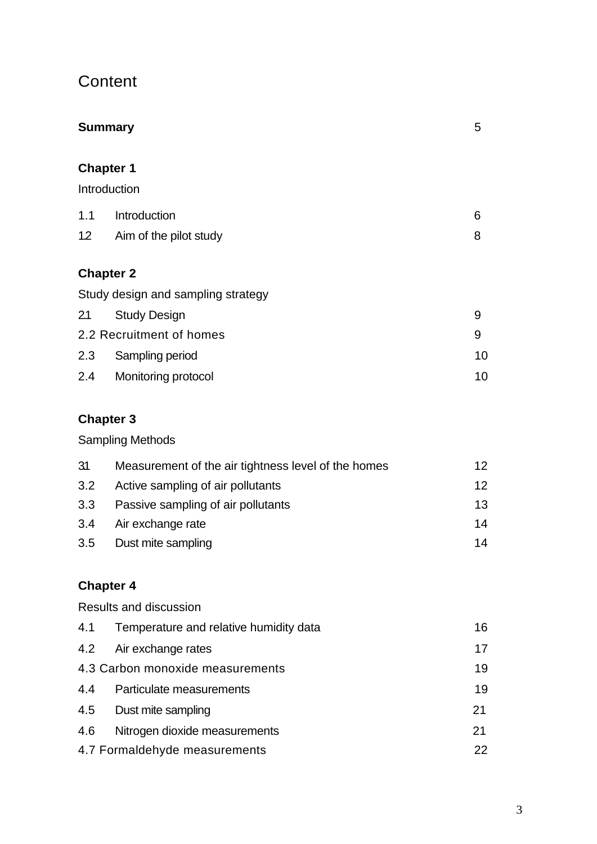# **Content**

| 5  |
|----|
|    |
| 6  |
| 8  |
|    |
|    |
| 9  |
| 9  |
| 10 |
| 10 |
|    |

# **Chapter 3**

Sampling Methods

| 31  | Measurement of the air tightness level of the homes | 12 <sup>°</sup> |
|-----|-----------------------------------------------------|-----------------|
| 3.2 | Active sampling of air pollutants                   | 12 <sup>°</sup> |
| 3.3 | Passive sampling of air pollutants                  | 13 <sup>1</sup> |
| 3.4 | Air exchange rate                                   | 14              |
| 3.5 | Dust mite sampling                                  | 14              |

# **Chapter 4**

|     | Results and discussion                 |    |
|-----|----------------------------------------|----|
| 4.1 | Temperature and relative humidity data | 16 |
|     | 4.2 Air exchange rates                 | 17 |
|     | 4.3 Carbon monoxide measurements       | 19 |
| 4.4 | Particulate measurements               | 19 |
| 4.5 | Dust mite sampling                     | 21 |
| 4.6 | Nitrogen dioxide measurements          | 21 |
|     | 4.7 Formaldehyde measurements          | 22 |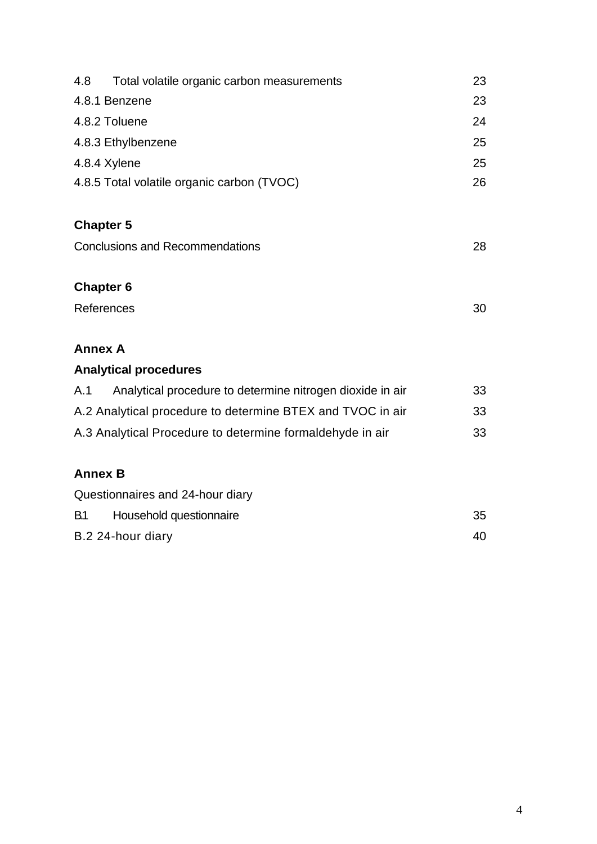| 4.8<br>Total volatile organic carbon measurements                | 23 |
|------------------------------------------------------------------|----|
| 4.8.1 Benzene                                                    | 23 |
|                                                                  |    |
| 4.8.2 Toluene                                                    | 24 |
| 4.8.3 Ethylbenzene                                               | 25 |
| 4.8.4 Xylene                                                     | 25 |
| 4.8.5 Total volatile organic carbon (TVOC)                       | 26 |
| <b>Chapter 5</b>                                                 |    |
| <b>Conclusions and Recommendations</b>                           | 28 |
| <b>Chapter 6</b>                                                 |    |
| References                                                       | 30 |
| <b>Annex A</b>                                                   |    |
| <b>Analytical procedures</b>                                     |    |
| Analytical procedure to determine nitrogen dioxide in air<br>A.1 | 33 |
| A.2 Analytical procedure to determine BTEX and TVOC in air       | 33 |
| A.3 Analytical Procedure to determine formaldehyde in air        | 33 |
| <b>Annex B</b>                                                   |    |
| Questionnaires and 24-hour diary                                 |    |
| <b>B1</b><br>Household questionnaire                             | 35 |
| B.2 24-hour diary                                                | 40 |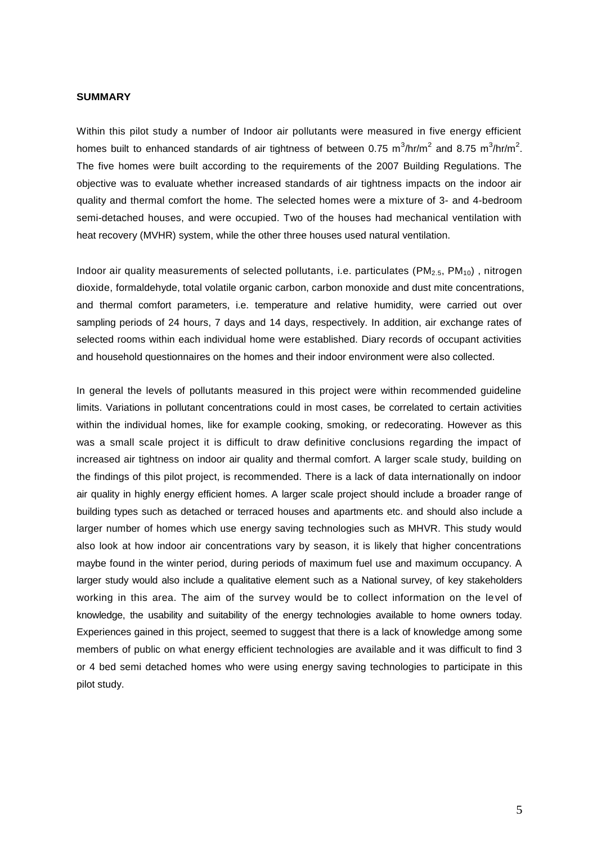#### **SUMMARY**

Within this pilot study a number of Indoor air pollutants were measured in five energy efficient homes built to enhanced standards of air tightness of between 0.75 m<sup>3</sup>/hr/m<sup>2</sup> and 8.75 m<sup>3</sup>/hr/m<sup>2</sup>. The five homes were built according to the requirements of the 2007 Building Regulations. The objective was to evaluate whether increased standards of air tightness impacts on the indoor air quality and thermal comfort the home. The selected homes were a mixture of 3- and 4-bedroom semi-detached houses, and were occupied. Two of the houses had mechanical ventilation with heat recovery (MVHR) system, while the other three houses used natural ventilation.

Indoor air quality measurements of selected pollutants, i.e. particulates ( $PM_{2.5}$ ,  $PM_{10}$ ), nitrogen dioxide, formaldehyde, total volatile organic carbon, carbon monoxide and dust mite concentrations, and thermal comfort parameters, i.e. temperature and relative humidity, were carried out over sampling periods of 24 hours, 7 days and 14 days, respectively. In addition, air exchange rates of selected rooms within each individual home were established. Diary records of occupant activities and household questionnaires on the homes and their indoor environment were also collected.

In general the levels of pollutants measured in this project were within recommended guideline limits. Variations in pollutant concentrations could in most cases, be correlated to certain activities within the individual homes, like for example cooking, smoking, or redecorating. However as this was a small scale project it is difficult to draw definitive conclusions regarding the impact of increased air tightness on indoor air quality and thermal comfort. A larger scale study, building on the findings of this pilot project, is recommended. There is a lack of data internationally on indoor air quality in highly energy efficient homes. A larger scale project should include a broader range of building types such as detached or terraced houses and apartments etc. and should also include a larger number of homes which use energy saving technologies such as MHVR. This study would also look at how indoor air concentrations vary by season, it is likely that higher concentrations maybe found in the winter period, during periods of maximum fuel use and maximum occupancy. A larger study would also include a qualitative element such as a National survey, of key stakeholders working in this area. The aim of the survey would be to collect information on the le vel of knowledge, the usability and suitability of the energy technologies available to home owners today. Experiences gained in this project, seemed to suggest that there is a lack of knowledge among some members of public on what energy efficient technologies are available and it was difficult to find 3 or 4 bed semi detached homes who were using energy saving technologies to participate in this pilot study.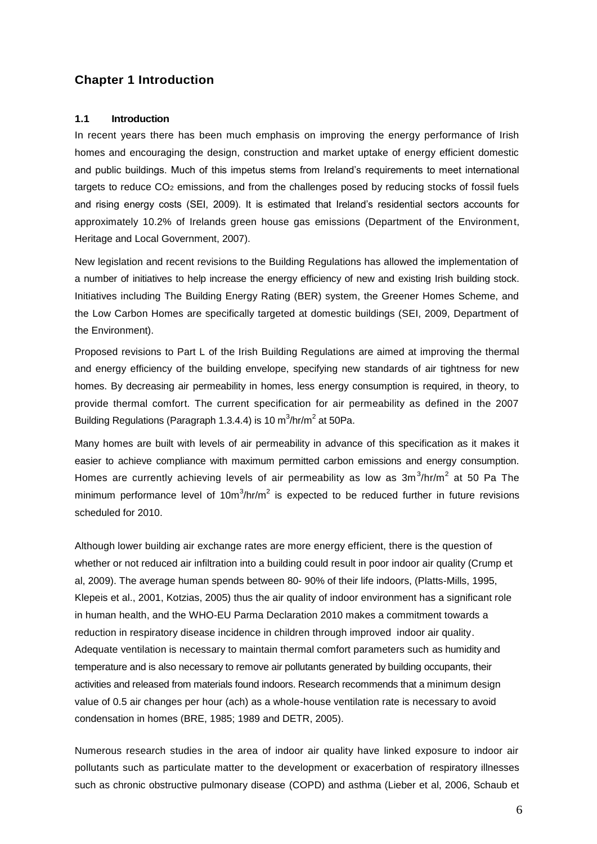#### **Chapter 1 Introduction**

#### **1.1 Introduction**

In recent years there has been much emphasis on improving the energy performance of Irish homes and encouraging the design, construction and market uptake of energy efficient domestic and public buildings. Much of this impetus stems from Ireland's requirements to meet international targets to reduce CO<sub>2</sub> emissions, and from the challenges posed by reducing stocks of fossil fuels and rising energy costs (SEI, 2009). It is estimated that Ireland's residential sectors accounts for approximately 10.2% of Irelands green house gas emissions (Department of the Environment, Heritage and Local Government, 2007).

New legislation and recent revisions to the Building Regulations has allowed the implementation of a number of initiatives to help increase the energy efficiency of new and existing Irish building stock. Initiatives including The Building Energy Rating (BER) system, the Greener Homes Scheme, and the Low Carbon Homes are specifically targeted at domestic buildings (SEI, 2009, Department of the Environment).

Proposed revisions to Part L of the Irish Building Regulations are aimed at improving the thermal and energy efficiency of the building envelope, specifying new standards of air tightness for new homes. By decreasing air permeability in homes, less energy consumption is required, in theory, to provide thermal comfort. The current specification for air permeability as defined in the 2007 Building Regulations (Paragraph 1.3.4.4) is 10 m $^3$ /hr/m $^2$  at 50Pa.

Many homes are built with levels of air permeability in advance of this specification as it makes it easier to achieve compliance with maximum permitted carbon emissions and energy consumption. Homes are currently achieving levels of air permeability as low as  $3m^3/hr/m^2$  at 50 Pa The minimum performance level of 10m $3/h$ r/m<sup>2</sup> is expected to be reduced further in future revisions scheduled for 2010.

Although lower building air exchange rates are more energy efficient, there is the question of whether or not reduced air infiltration into a building could result in poor indoor air quality (Crump et al, 2009). The average human spends between 80- 90% of their life indoors, (Platts-Mills, 1995, Klepeis et al., 2001, Kotzias, 2005) thus the air quality of indoor environment has a significant role in human health, and the WHO-EU Parma Declaration 2010 makes a commitment towards a reduction in respiratory disease incidence in children through improved indoor air quality. Adequate ventilation is necessary to maintain thermal comfort parameters such as humidity and temperature and is also necessary to remove air pollutants generated by building occupants, their activities and released from materials found indoors. Research recommends that a minimum design value of 0.5 air changes per hour (ach) as a whole-house ventilation rate is necessary to avoid condensation in homes (BRE, 1985; 1989 and DETR, 2005).

Numerous research studies in the area of indoor air quality have linked exposure to indoor air pollutants such as particulate matter to the development or exacerbation of respiratory illnesses such as chronic obstructive pulmonary disease (COPD) and asthma (Lieber et al, 2006, Schaub et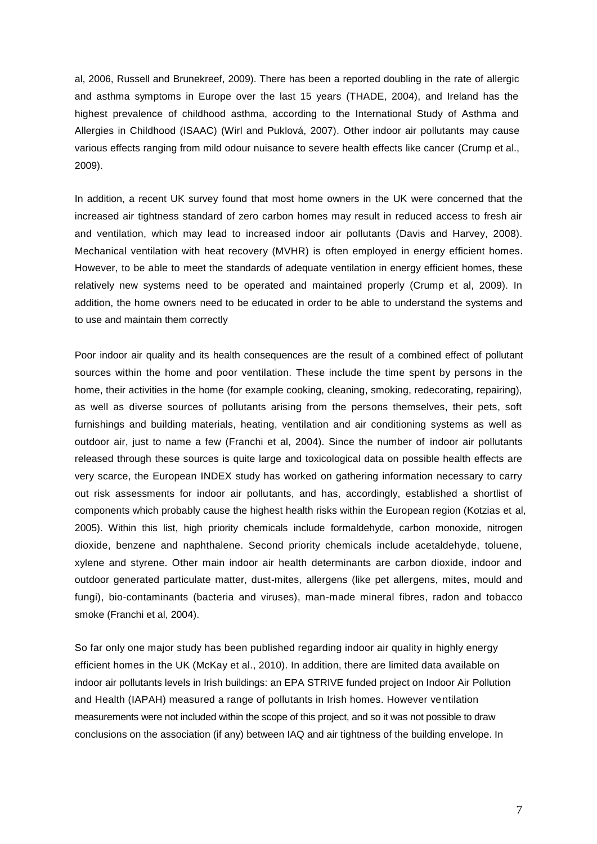al, 2006, Russell and Brunekreef, 2009). There has been a reported doubling in the rate of allergic and asthma symptoms in Europe over the last 15 years (THADE, 2004), and Ireland has the highest prevalence of childhood asthma, according to the International Study of Asthma and Allergies in Childhood (ISAAC) (Wirl and Puklová, 2007). Other indoor air pollutants may cause various effects ranging from mild odour nuisance to severe health effects like cancer (Crump et al., 2009).

In addition, a recent UK survey found that most home owners in the UK were concerned that the increased air tightness standard of zero carbon homes may result in reduced access to fresh air and ventilation, which may lead to increased indoor air pollutants (Davis and Harvey, 2008). Mechanical ventilation with heat recovery (MVHR) is often employed in energy efficient homes. However, to be able to meet the standards of adequate ventilation in energy efficient homes, these relatively new systems need to be operated and maintained properly (Crump et al, 2009). In addition, the home owners need to be educated in order to be able to understand the systems and to use and maintain them correctly

Poor indoor air quality and its health consequences are the result of a combined effect of pollutant sources within the home and poor ventilation. These include the time spent by persons in the home, their activities in the home (for example cooking, cleaning, smoking, redecorating, repairing), as well as diverse sources of pollutants arising from the persons themselves, their pets, soft furnishings and building materials, heating, ventilation and air conditioning systems as well as outdoor air, just to name a few (Franchi et al, 2004). Since the number of indoor air pollutants released through these sources is quite large and toxicological data on possible health effects are very scarce, the European INDEX study has worked on gathering information necessary to carry out risk assessments for indoor air pollutants, and has, accordingly, established a shortlist of components which probably cause the highest health risks within the European region (Kotzias et al, 2005). Within this list, high priority chemicals include formaldehyde, carbon monoxide, nitrogen dioxide, benzene and naphthalene. Second priority chemicals include acetaldehyde, toluene, xylene and styrene. Other main indoor air health determinants are carbon dioxide, indoor and outdoor generated particulate matter, dust-mites, allergens (like pet allergens, mites, mould and fungi), bio-contaminants (bacteria and viruses), man-made mineral fibres, radon and tobacco smoke (Franchi et al, 2004).

So far only one major study has been published regarding indoor air quality in highly energy efficient homes in the UK (McKay et al., 2010). In addition, there are limited data available on indoor air pollutants levels in Irish buildings: an EPA STRIVE funded project on Indoor Air Pollution and Health (IAPAH) measured a range of pollutants in Irish homes. However ventilation measurements were not included within the scope of this project, and so it was not possible to draw conclusions on the association (if any) between IAQ and air tightness of the building envelope. In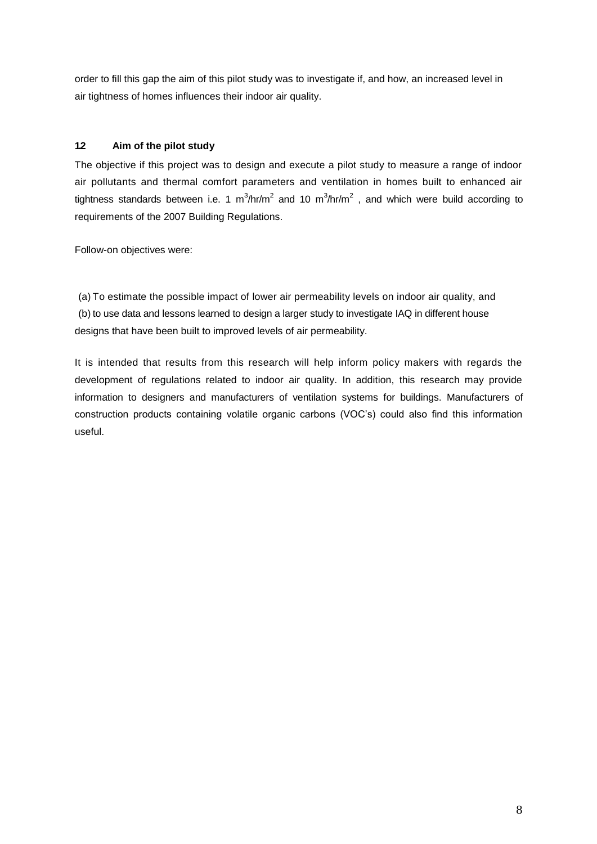order to fill this gap the aim of this pilot study was to investigate if, and how, an increased level in air tightness of homes influences their indoor air quality.

#### **1.2 Aim of the pilot study**

The objective if this project was to design and execute a pilot study to measure a range of indoor air pollutants and thermal comfort parameters and ventilation in homes built to enhanced air tightness standards between i.e. 1 m<sup>3</sup>/hr/m<sup>2</sup> and 10 m<sup>3</sup>/hr/m<sup>2</sup>, and which were build according to requirements of the 2007 Building Regulations.

Follow-on objectives were:

(a) To estimate the possible impact of lower air permeability levels on indoor air quality, and (b) to use data and lessons learned to design a larger study to investigate IAQ in different house designs that have been built to improved levels of air permeability.

It is intended that results from this research will help inform policy makers with regards the development of regulations related to indoor air quality. In addition, this research may provide information to designers and manufacturers of ventilation systems for buildings. Manufacturers of construction products containing volatile organic carbons (VOC's) could also find this information useful.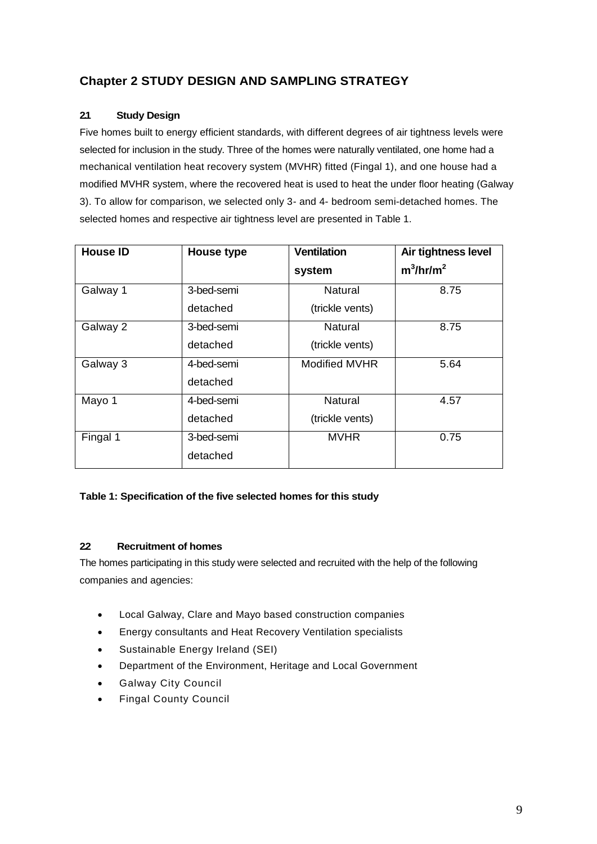### **Chapter 2 STUDY DESIGN AND SAMPLING STRATEGY**

#### **2.1 Study Design**

Five homes built to energy efficient standards, with different degrees of air tightness levels were selected for inclusion in the study. Three of the homes were naturally ventilated, one home had a mechanical ventilation heat recovery system (MVHR) fitted (Fingal 1), and one house had a modified MVHR system, where the recovered heat is used to heat the under floor heating (Galway 3). To allow for comparison, we selected only 3- and 4- bedroom semi-detached homes. The selected homes and respective air tightness level are presented in Table 1.

| <b>House ID</b> | House type | <b>Ventilation</b>   | Air tightness level |
|-----------------|------------|----------------------|---------------------|
|                 |            | system               | $m^3/hr/m^2$        |
| Galway 1        | 3-bed-semi | Natural              | 8.75                |
|                 | detached   | (trickle vents)      |                     |
| Galway 2        | 3-bed-semi | Natural              | 8.75                |
|                 | detached   | (trickle vents)      |                     |
| Galway 3        | 4-bed-semi | <b>Modified MVHR</b> | 5.64                |
|                 | detached   |                      |                     |
| Mayo 1          | 4-bed-semi | Natural              | 4.57                |
|                 | detached   | (trickle vents)      |                     |
| Fingal 1        | 3-bed-semi | <b>MVHR</b>          | 0.75                |
|                 | detached   |                      |                     |

#### **Table 1: Specification of the five selected homes for this study**

#### **2.2 Recruitment of homes**

The homes participating in this study were selected and recruited with the help of the following companies and agencies:

- Local Galway, Clare and Mayo based construction companies
- Energy consultants and Heat Recovery Ventilation specialists
- Sustainable Energy Ireland (SEI)
- Department of the Environment, Heritage and Local Government
- Galway City Council
- Fingal County Council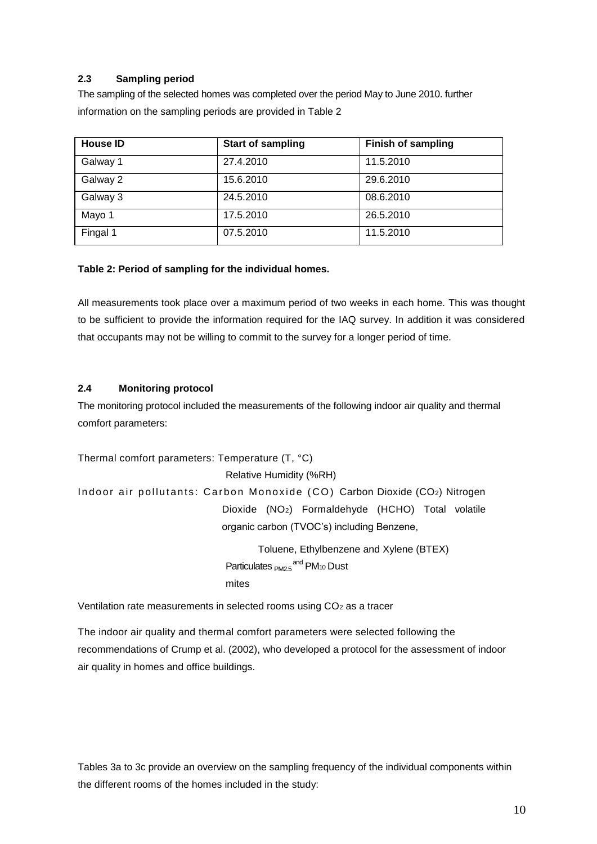#### **2.3 Sampling period**

The sampling of the selected homes was completed over the period May to June 2010. further information on the sampling periods are provided in Table 2

| <b>House ID</b> | <b>Start of sampling</b> | <b>Finish of sampling</b> |
|-----------------|--------------------------|---------------------------|
| Galway 1        | 27.4.2010                | 11.5.2010                 |
| Galway 2        | 15.6.2010                | 29.6.2010                 |
| Galway 3        | 24.5.2010                | 08.6.2010                 |
| Mayo 1          | 17.5.2010                | 26.5.2010                 |
| Fingal 1        | 07.5.2010                | 11.5.2010                 |

#### **Table 2: Period of sampling for the individual homes.**

All measurements took place over a maximum period of two weeks in each home. This was thought to be sufficient to provide the information required for the IAQ survey. In addition it was considered that occupants may not be willing to commit to the survey for a longer period of time.

#### **2.4 Monitoring protocol**

The monitoring protocol included the measurements of the following indoor air quality and thermal comfort parameters:

Thermal comfort parameters: Temperature (T, °C) Relative Humidity (%RH) Indoor air pollutants: Carbon Monoxide (CO) Carbon Dioxide (CO2) Nitrogen Dioxide (NO2) Formaldehyde (HCHO) Total volatile organic carbon (TVOC's) including Benzene,

Toluene, Ethylbenzene and Xylene (BTEX) Particulates <sub>PM2.5</sub> and PM<sub>10</sub> Dust mites

Ventilation rate measurements in selected rooms using CO<sup>2</sup> as a tracer

The indoor air quality and thermal comfort parameters were selected following the recommendations of Crump et al. (2002), who developed a protocol for the assessment of indoor air quality in homes and office buildings.

Tables 3a to 3c provide an overview on the sampling frequency of the individual components within the different rooms of the homes included in the study: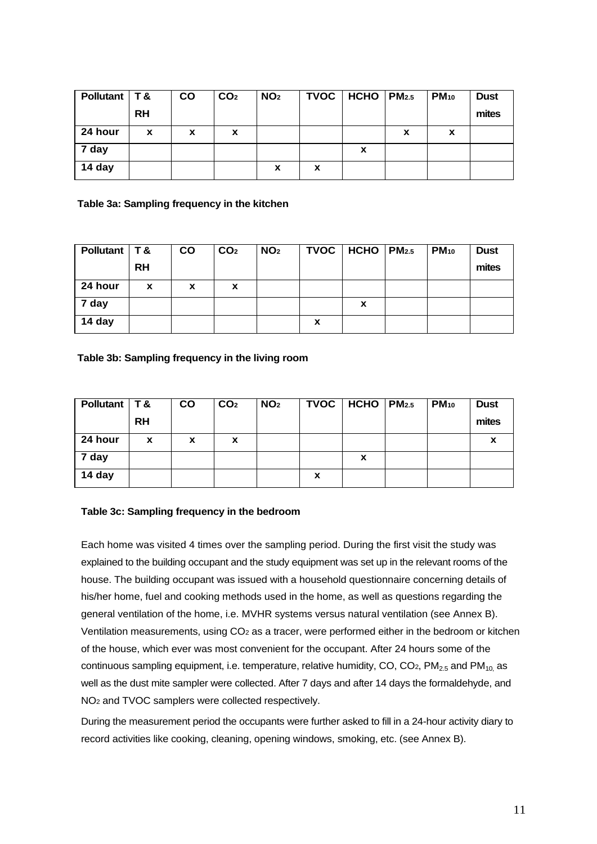| Pollutant   T & |           | <b>CO</b> | CO <sub>2</sub> | NO <sub>2</sub> | TVOC | $HCHO$ $PM2.5$ |   | $PM_{10}$ | <b>Dust</b> |
|-----------------|-----------|-----------|-----------------|-----------------|------|----------------|---|-----------|-------------|
|                 | <b>RH</b> |           |                 |                 |      |                |   |           | mites       |
| 24 hour         | X         | X         | X               |                 |      |                | X | X         |             |
| 7 day           |           |           |                 |                 |      | X              |   |           |             |
| 14 day          |           |           |                 | X               | X    |                |   |           |             |

**Table 3a: Sampling frequency in the kitchen**

| Pollutant   T & |           | <b>CO</b> | CO <sub>2</sub> | NO <sub>2</sub> |   | TVOC   HCHO | PM2.5 | $PM_{10}$ | <b>Dust</b> |
|-----------------|-----------|-----------|-----------------|-----------------|---|-------------|-------|-----------|-------------|
|                 | <b>RH</b> |           |                 |                 |   |             |       |           | mites       |
| 24 hour         | X         | X         | X               |                 |   |             |       |           |             |
| 7 day           |           |           |                 |                 |   | X           |       |           |             |
| 14 day          |           |           |                 |                 | x |             |       |           |             |

**Table 3b: Sampling frequency in the living room**

| Pollutant   T & |           | <b>CO</b> | CO <sub>2</sub> | NO <sub>2</sub> |   | $TVOC$   HCHO   PM2.5 | PM <sub>10</sub> | <b>Dust</b> |
|-----------------|-----------|-----------|-----------------|-----------------|---|-----------------------|------------------|-------------|
|                 | <b>RH</b> |           |                 |                 |   |                       |                  | mites       |
| 24 hour         | X         | x         | x               |                 |   |                       |                  | x           |
| 7 day           |           |           |                 |                 |   | X                     |                  |             |
| 14 day          |           |           |                 |                 | X |                       |                  |             |

#### **Table 3c: Sampling frequency in the bedroom**

Each home was visited 4 times over the sampling period. During the first visit the study was explained to the building occupant and the study equipment was set up in the relevant rooms of the house. The building occupant was issued with a household questionnaire concerning details of his/her home, fuel and cooking methods used in the home, as well as questions regarding the general ventilation of the home, i.e. MVHR systems versus natural ventilation (see Annex B). Ventilation measurements, using CO<sup>2</sup> as a tracer, were performed either in the bedroom or kitchen of the house, which ever was most convenient for the occupant. After 24 hours some of the continuous sampling equipment, i.e. temperature, relative humidity, CO, CO<sub>2</sub>, PM<sub>2.5</sub> and PM<sub>10</sub> as well as the dust mite sampler were collected. After 7 days and after 14 days the formaldehyde, and NO<sup>2</sup> and TVOC samplers were collected respectively.

During the measurement period the occupants were further asked to fill in a 24-hour activity diary to record activities like cooking, cleaning, opening windows, smoking, etc. (see Annex B).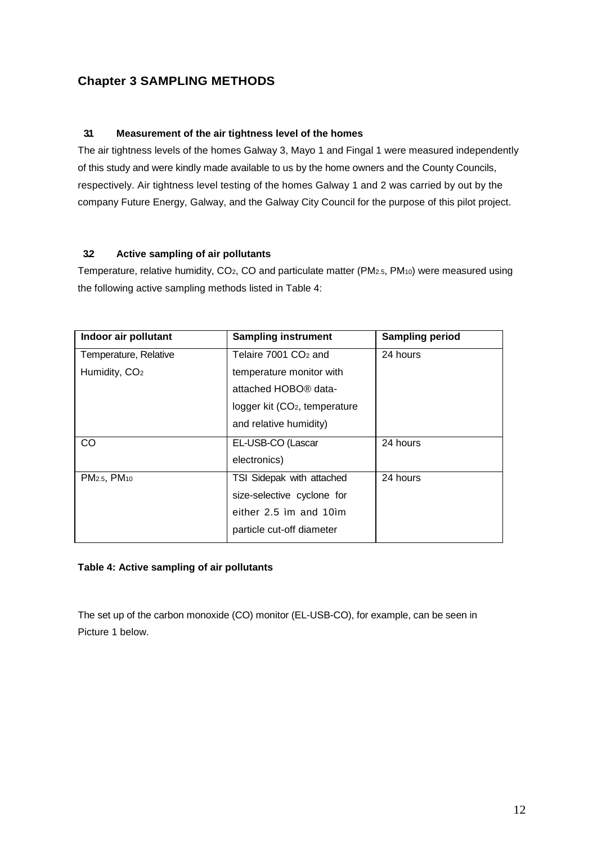### **Chapter 3 SAMPLING METHODS**

#### **3.1 Measurement of the air tightness level of the homes**

The air tightness levels of the homes Galway 3, Mayo 1 and Fingal 1 were measured independently of this study and were kindly made available to us by the home owners and the County Councils, respectively. Air tightness level testing of the homes Galway 1 and 2 was carried by out by the company Future Energy, Galway, and the Galway City Council for the purpose of this pilot project.

#### **3.2 Active sampling of air pollutants**

Temperature, relative humidity, CO2, CO and particulate matter (PM2.5, PM10) were measured using the following active sampling methods listed in Table 4:

| Indoor air pollutant                 | <b>Sampling instrument</b>                | <b>Sampling period</b> |
|--------------------------------------|-------------------------------------------|------------------------|
| Temperature, Relative                | Telaire 7001 CO <sub>2</sub> and          | 24 hours               |
| Humidity, CO <sub>2</sub>            | temperature monitor with                  |                        |
|                                      | attached HOBO <sup>®</sup> data-          |                        |
|                                      | logger kit (CO <sub>2</sub> , temperature |                        |
|                                      | and relative humidity)                    |                        |
| CO                                   | EL-USB-CO (Lascar                         | 24 hours               |
|                                      | electronics)                              |                        |
| PM <sub>2.5</sub> , PM <sub>10</sub> | TSI Sidepak with attached                 | 24 hours               |
|                                      | size-selective cyclone for                |                        |
|                                      | either 2.5 im and 10im                    |                        |
|                                      | particle cut-off diameter                 |                        |

#### **Table 4: Active sampling of air pollutants**

The set up of the carbon monoxide (CO) monitor (EL-USB-CO), for example, can be seen in Picture 1 below.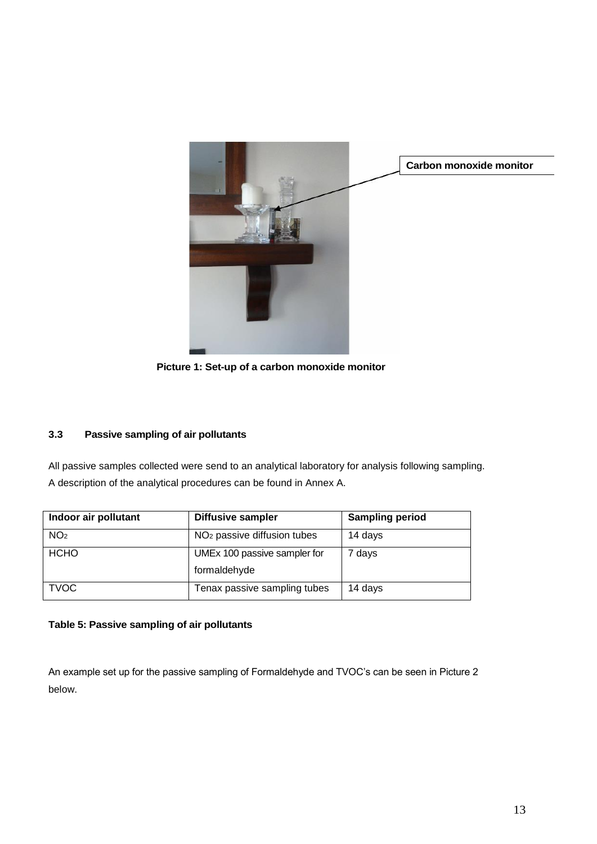

**Picture 1: Set-up of a carbon monoxide monitor**

#### **3.3 Passive sampling of air pollutants**

All passive samples collected were send to an analytical laboratory for analysis following sampling. A description of the analytical procedures can be found in Annex A.

| Indoor air pollutant | <b>Diffusive sampler</b>                     | <b>Sampling period</b> |
|----------------------|----------------------------------------------|------------------------|
| NO <sub>2</sub>      | NO <sub>2</sub> passive diffusion tubes      | 14 days                |
| <b>HCHO</b>          | UMEx 100 passive sampler for<br>formaldehyde | 7 days                 |
| <b>TVOC</b>          | Tenax passive sampling tubes                 | 14 days                |

#### **Table 5: Passive sampling of air pollutants**

An example set up for the passive sampling of Formaldehyde and TVOC's can be seen in Picture 2 below.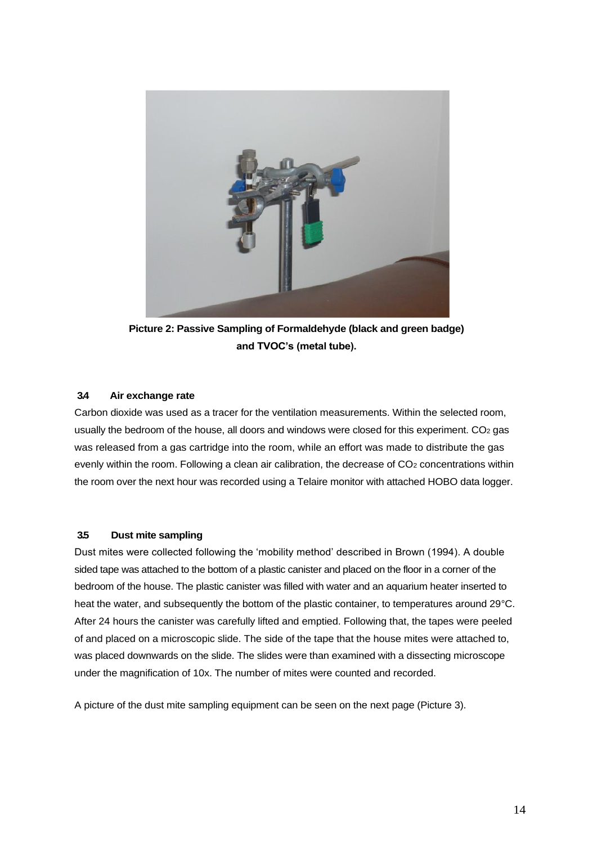

**Picture 2: Passive Sampling of Formaldehyde (black and green badge) and TVOC's (metal tube).**

#### **3.4 Air exchange rate**

Carbon dioxide was used as a tracer for the ventilation measurements. Within the selected room, usually the bedroom of the house, all doors and windows were closed for this experiment. CO<sub>2</sub> gas was released from a gas cartridge into the room, while an effort was made to distribute the gas evenly within the room. Following a clean air calibration, the decrease of CO<sub>2</sub> concentrations within the room over the next hour was recorded using a Telaire monitor with attached HOBO data logger.

#### **3.5 Dust mite sampling**

Dust mites were collected following the 'mobility method' described in Brown (1994). A double sided tape was attached to the bottom of a plastic canister and placed on the floor in a corner of the bedroom of the house. The plastic canister was filled with water and an aquarium heater inserted to heat the water, and subsequently the bottom of the plastic container, to temperatures around 29°C. After 24 hours the canister was carefully lifted and emptied. Following that, the tapes were peeled of and placed on a microscopic slide. The side of the tape that the house mites were attached to, was placed downwards on the slide. The slides were than examined with a dissecting microscope under the magnification of 10x. The number of mites were counted and recorded.

A picture of the dust mite sampling equipment can be seen on the next page (Picture 3).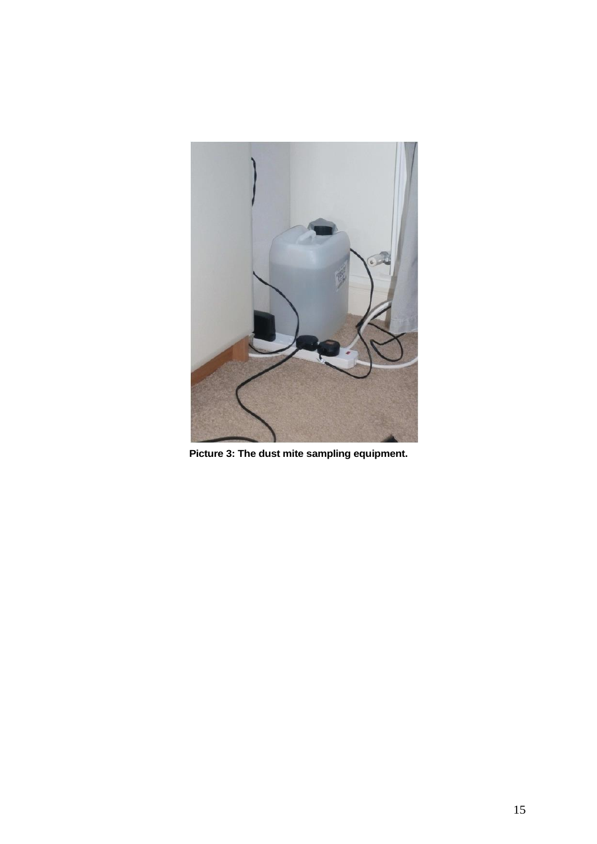

**Picture 3: The dust mite sampling equipment.**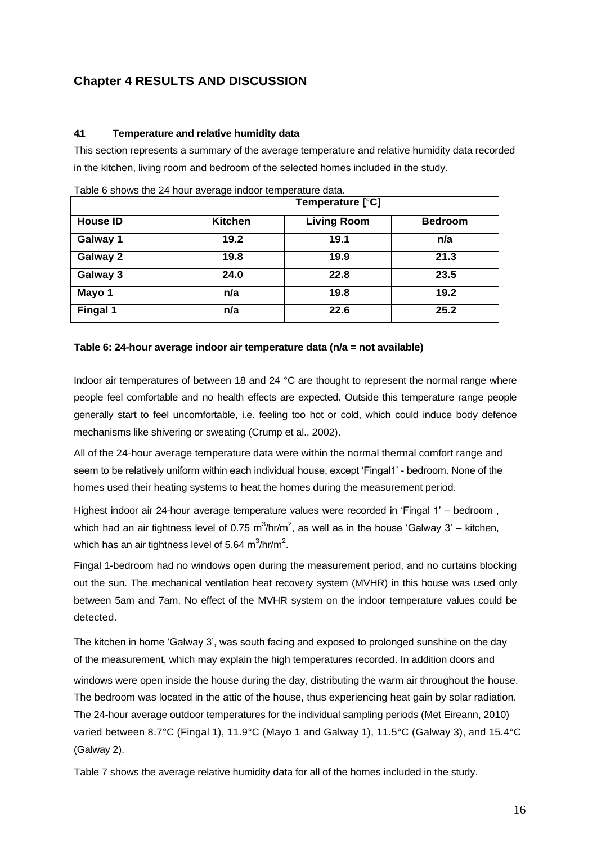### **Chapter 4 RESULTS AND DISCUSSION**

#### **4.1 Temperature and relative humidity data**

This section represents a summary of the average temperature and relative humidity data recorded in the kitchen, living room and bedroom of the selected homes included in the study.

|                 |         | Temperature [°C]   |                |
|-----------------|---------|--------------------|----------------|
| <b>House ID</b> | Kitchen | <b>Living Room</b> | <b>Bedroom</b> |
| Galway 1        | 19.2    | 19.1               | n/a            |
| Galway 2        | 19.8    | 19.9               | 21.3           |
| Galway 3        | 24.0    | 22.8               | 23.5           |
| Mayo 1          | n/a     | 19.8               | 19.2           |
| Fingal 1        | n/a     | 22.6               | 25.2           |

Table 6 shows the 24 hour average indoor temperature data.

#### **Table 6: 24-hour average indoor air temperature data (n/a = not available)**

Indoor air temperatures of between 18 and 24 °C are thought to represent the normal range where people feel comfortable and no health effects are expected. Outside this temperature range people generally start to feel uncomfortable, i.e. feeling too hot or cold, which could induce body defence mechanisms like shivering or sweating (Crump et al., 2002).

All of the 24-hour average temperature data were within the normal thermal comfort range and seem to be relatively uniform within each individual house, except 'Fingal1' - bedroom. None of the homes used their heating systems to heat the homes during the measurement period.

Highest indoor air 24-hour average temperature values were recorded in 'Fingal 1' – bedroom , which had an air tightness level of 0.75 m<sup>3</sup>/hr/m<sup>2</sup>, as well as in the house 'Galway 3' – kitchen, which has an air tightness level of 5.64  $\textsf{m}^3\textsf{/hr/m}^2$ .

Fingal 1-bedroom had no windows open during the measurement period, and no curtains blocking out the sun. The mechanical ventilation heat recovery system (MVHR) in this house was used only between 5am and 7am. No effect of the MVHR system on the indoor temperature values could be detected.

The kitchen in home 'Galway 3', was south facing and exposed to prolonged sunshine on the day of the measurement, which may explain the high temperatures recorded. In addition doors and windows were open inside the house during the day, distributing the warm air throughout the house. The bedroom was located in the attic of the house, thus experiencing heat gain by solar radiation. The 24-hour average outdoor temperatures for the individual sampling periods (Met Eireann, 2010) varied between 8.7°C (Fingal 1), 11.9°C (Mayo 1 and Galway 1), 11.5°C (Galway 3), and 15.4°C (Galway 2).

Table 7 shows the average relative humidity data for all of the homes included in the study.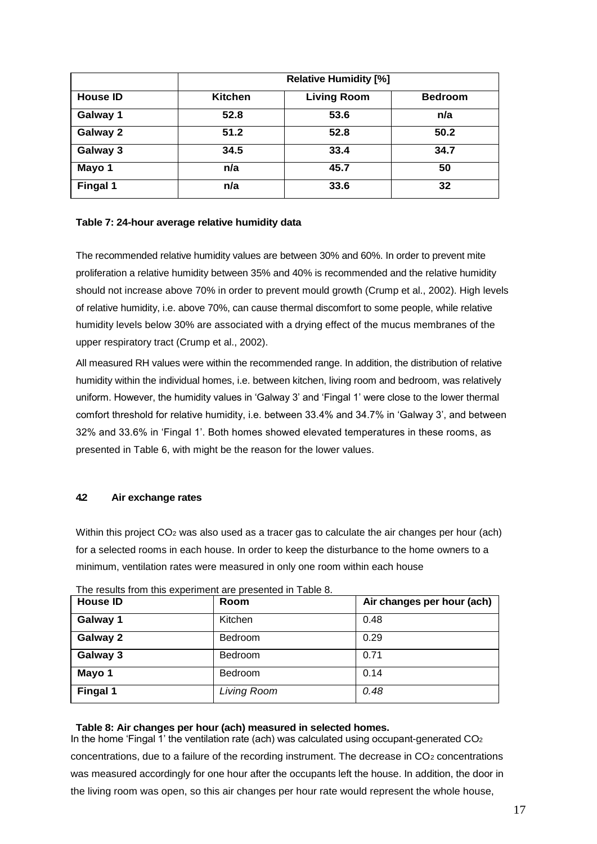|                 | <b>Relative Humidity [%]</b> |                    |                |
|-----------------|------------------------------|--------------------|----------------|
| <b>House ID</b> | <b>Kitchen</b>               | <b>Living Room</b> | <b>Bedroom</b> |
| Galway 1        | 52.8                         | 53.6               | n/a            |
| Galway 2        | 51.2                         | 52.8               | 50.2           |
| Galway 3        | 34.5                         | 33.4               | 34.7           |
| Mayo 1          | n/a                          | 45.7               | 50             |
| Fingal 1        | n/a                          | 33.6               | 32             |

#### **Table 7: 24-hour average relative humidity data**

The recommended relative humidity values are between 30% and 60%. In order to prevent mite proliferation a relative humidity between 35% and 40% is recommended and the relative humidity should not increase above 70% in order to prevent mould growth (Crump et al., 2002). High levels of relative humidity, i.e. above 70%, can cause thermal discomfort to some people, while relative humidity levels below 30% are associated with a drying effect of the mucus membranes of the upper respiratory tract (Crump et al., 2002).

All measured RH values were within the recommended range. In addition, the distribution of relative humidity within the individual homes, i.e. between kitchen, living room and bedroom, was relatively uniform. However, the humidity values in 'Galway 3' and 'Fingal 1' were close to the lower thermal comfort threshold for relative humidity, i.e. between 33.4% and 34.7% in 'Galway 3', and between 32% and 33.6% in 'Fingal 1'. Both homes showed elevated temperatures in these rooms, as presented in Table 6, with might be the reason for the lower values.

#### **4.2 Air exchange rates**

Within this project CO<sub>2</sub> was also used as a tracer gas to calculate the air changes per hour (ach) for a selected rooms in each house. In order to keep the disturbance to the home owners to a minimum, ventilation rates were measured in only one room within each house

| <b>House ID</b> | <b>Room</b>    | Air changes per hour (ach) |
|-----------------|----------------|----------------------------|
| Galway 1        | Kitchen        | 0.48                       |
| Galway 2        | <b>Bedroom</b> | 0.29                       |
| Galway 3        | Bedroom        | 0.71                       |
| Mayo 1          | <b>Bedroom</b> | 0.14                       |
| Fingal 1        | Living Room    | 0.48                       |

The results from this experiment are presented in Table 8.

#### **Table 8: Air changes per hour (ach) measured in selected homes.**

In the home 'Fingal 1' the ventilation rate (ach) was calculated using occupant-generated  $CO<sub>2</sub>$ concentrations, due to a failure of the recording instrument. The decrease in CO<sup>2</sup> concentrations was measured accordingly for one hour after the occupants left the house. In addition, the door in the living room was open, so this air changes per hour rate would represent the whole house,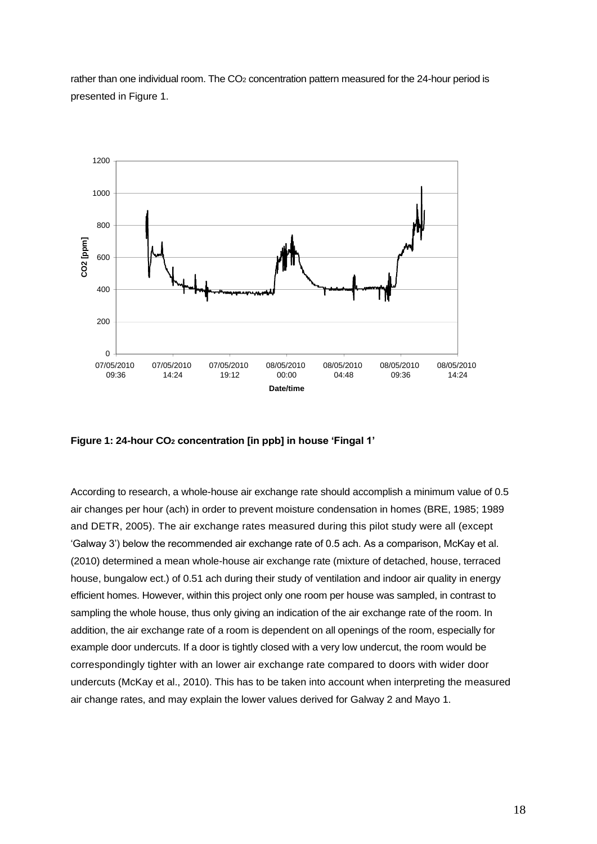rather than one individual room. The CO<sub>2</sub> concentration pattern measured for the 24-hour period is presented in Figure 1.



**Figure 1: 24-hour CO<sup>2</sup> concentration [in ppb] in house 'Fingal 1'**

According to research, a whole-house air exchange rate should accomplish a minimum value of 0.5 air changes per hour (ach) in order to prevent moisture condensation in homes (BRE, 1985; 1989 and DETR, 2005). The air exchange rates measured during this pilot study were all (except 'Galway 3') below the recommended air exchange rate of 0.5 ach. As a comparison, McKay et al. (2010) determined a mean whole-house air exchange rate (mixture of detached, house, terraced house, bungalow ect.) of 0.51 ach during their study of ventilation and indoor air quality in energy efficient homes. However, within this project only one room per house was sampled, in contrast to sampling the whole house, thus only giving an indication of the air exchange rate of the room. In addition, the air exchange rate of a room is dependent on all openings of the room, especially for example door undercuts. If a door is tightly closed with a very low undercut, the room would be correspondingly tighter with an lower air exchange rate compared to doors with wider door undercuts (McKay et al., 2010). This has to be taken into account when interpreting the measured air change rates, and may explain the lower values derived for Galway 2 and Mayo 1.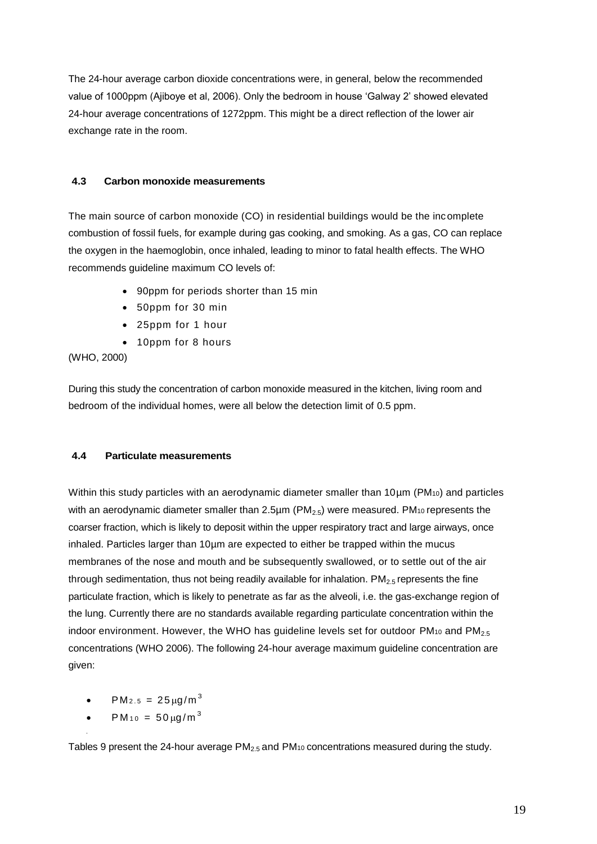The 24-hour average carbon dioxide concentrations were, in general, below the recommended value of 1000ppm (Ajiboye et al, 2006). Only the bedroom in house 'Galway 2' showed elevated 24-hour average concentrations of 1272ppm. This might be a direct reflection of the lower air exchange rate in the room.

#### **4.3 Carbon monoxide measurements**

The main source of carbon monoxide (CO) in residential buildings would be the incomplete combustion of fossil fuels, for example during gas cooking, and smoking. As a gas, CO can replace the oxygen in the haemoglobin, once inhaled, leading to minor to fatal health effects. The WHO recommends guideline maximum CO levels of:

- 90ppm for periods shorter than 15 min
- 50ppm for 30 min
- 25ppm for 1 hour
- 10ppm for 8 hours

(WHO, 2000)

During this study the concentration of carbon monoxide measured in the kitchen, living room and bedroom of the individual homes, were all below the detection limit of 0.5 ppm.

#### **4.4 Particulate measurements**

Within this study particles with an aerodynamic diameter smaller than 10µm (PM<sub>10</sub>) and particles with an aerodynamic diameter smaller than  $2.5\mu$ m (PM<sub>2.5</sub>) were measured. PM<sub>10</sub> represents the coarser fraction, which is likely to deposit within the upper respiratory tract and large airways, once inhaled. Particles larger than 10µm are expected to either be trapped within the mucus membranes of the nose and mouth and be subsequently swallowed, or to settle out of the air through sedimentation, thus not being readily available for inhalation.  $PM_{2.5}$  represents the fine particulate fraction, which is likely to penetrate as far as the alveoli, i.e. the gas-exchange region of the lung. Currently there are no standards available regarding particulate concentration within the indoor environment. However, the WHO has guideline levels set for outdoor  $PM_{10}$  and  $PM_{2.5}$ concentrations (WHO 2006). The following 24-hour average maximum guideline concentration are given:

- $PM_{2.5} = 25 \mu g/m^3$
- $PM_{10} = 50 \mu g/m^3$

•

Tables 9 present the 24-hour average  $PM<sub>2.5</sub>$  and  $PM<sub>10</sub>$  concentrations measured during the study.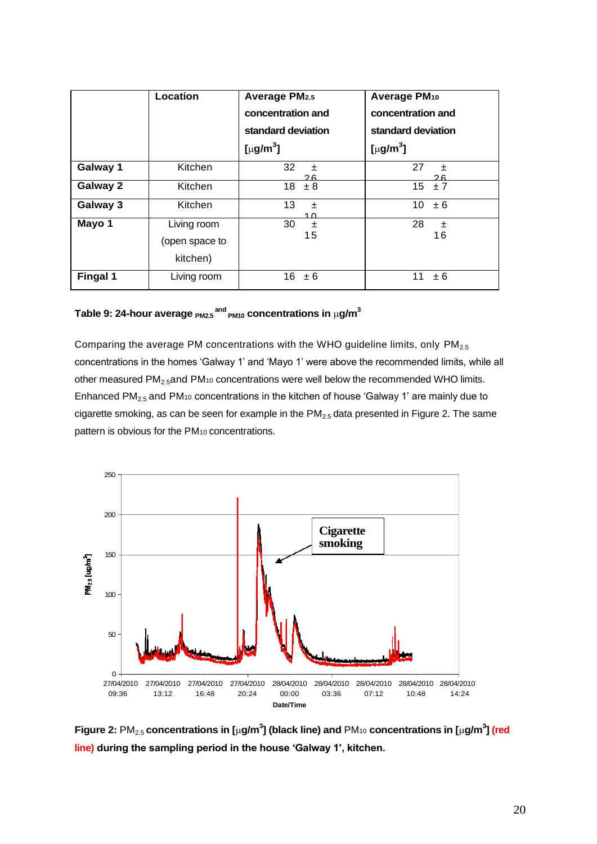|          | Location                                  | <b>Average PM2.5</b><br>concentration and<br>standard deviation<br>[ $\mu$ g/m <sup>3</sup> ] | Average PM <sub>10</sub><br>concentration and<br>standard deviation<br>[µg/m <sup>3</sup> ] |         |
|----------|-------------------------------------------|-----------------------------------------------------------------------------------------------|---------------------------------------------------------------------------------------------|---------|
| Galway 1 | Kitchen                                   | 32<br>土<br>つに                                                                                 | 27                                                                                          | 土<br>つに |
| Galway 2 | <b>Kitchen</b>                            | 18<br>± 8                                                                                     | 15                                                                                          | ±7      |
| Galway 3 | Kitchen                                   | 13<br>$\pm$<br>1 ሰ                                                                            | 10                                                                                          | ± 6     |
| Mayo 1   | Living room<br>(open space to<br>kitchen) | 30<br>土<br>15                                                                                 | 28                                                                                          | 土<br>16 |
| Fingal 1 | Living room                               | 16<br>± 6                                                                                     | 11                                                                                          | ± 6     |

Table 9: 24-hour average  $_{\sf PM2.5}^{\sf and}$   $_{\sf PM10}^{\sf on}$  concentrations in  $\mu$ g/m $^3$ 

Comparing the average PM concentrations with the WHO guideline limits, only  $PM<sub>2.5</sub>$ concentrations in the homes 'Galway 1' and 'Mayo 1' were above the recommended limits, while all other measured  $PM_{2.5}$ and  $PM_{10}$  concentrations were well below the recommended WHO limits. Enhanced PM<sub>2.5</sub> and PM<sub>10</sub> concentrations in the kitchen of house 'Galway 1' are mainly due to cigarette smoking, as can be seen for example in the  $PM<sub>2.5</sub>$  data presented in Figure 2. The same pattern is obvious for the PM10 concentrations.



**Figure 2:** PM2.5 **concentrations in [g/m<sup>3</sup> ] (black line) and** PM<sup>10</sup> **concentrations in [g/m<sup>3</sup> ] (red line) during the sampling period in the house 'Galway 1', kitchen.**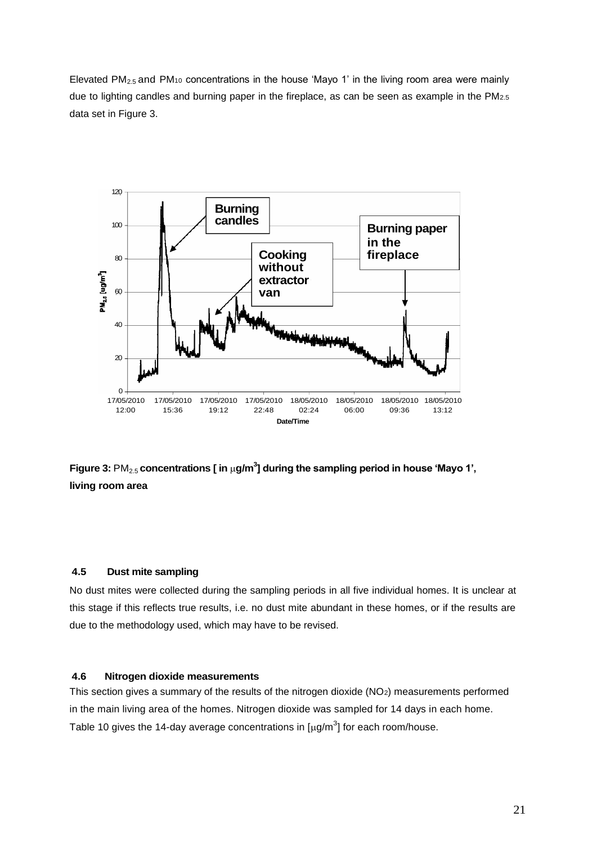Elevated  $PM_{2.5}$  and  $PM_{10}$  concentrations in the house 'Mayo 1' in the living room area were mainly due to lighting candles and burning paper in the fireplace, as can be seen as example in the PM2.5 data set in Figure 3.



Figure 3:  $\text{PM}_{2.5}$  concentrations [ in  $\mu$ g/m $^3$ ] during the sampling period in house 'Mayo 1', **living room area**

#### **4.5 Dust mite sampling**

No dust mites were collected during the sampling periods in all five individual homes. It is unclear at this stage if this reflects true results, i.e. no dust mite abundant in these homes, or if the results are due to the methodology used, which may have to be revised.

#### **4.6 Nitrogen dioxide measurements**

This section gives a summary of the results of the nitrogen dioxide (NO2) measurements performed in the main living area of the homes. Nitrogen dioxide was sampled for 14 days in each home. Table 10 gives the 14-day average concentrations in  $[\mu g/m^3]$  for each room/house.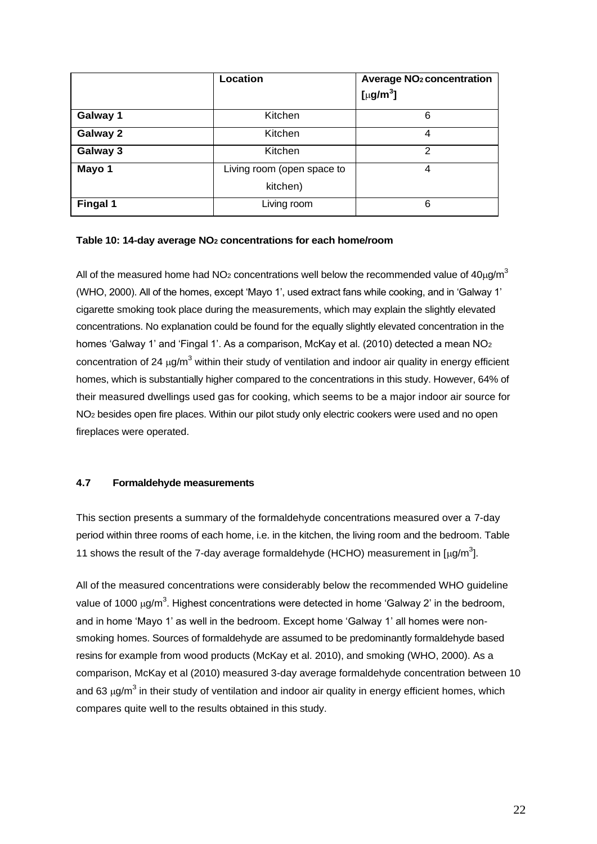|          | Location                               | <b>Average NO<sub>2</sub> concentration</b><br>[ $\mu$ g/m <sup>3</sup> ] |
|----------|----------------------------------------|---------------------------------------------------------------------------|
| Galway 1 | Kitchen                                | 6                                                                         |
| Galway 2 | Kitchen                                | 4                                                                         |
| Galway 3 | Kitchen                                | 2                                                                         |
| Mayo 1   | Living room (open space to<br>kitchen) | 4                                                                         |
| Fingal 1 | Living room                            | 6                                                                         |

#### **Table 10: 14-day average NO<sup>2</sup> concentrations for each home/room**

All of the measured home had NO<sub>2</sub> concentrations well below the recommended value of  $40\mu\text{g/m}^3$ (WHO, 2000). All of the homes, except 'Mayo 1', used extract fans while cooking, and in 'Galway 1' cigarette smoking took place during the measurements, which may explain the slightly elevated concentrations. No explanation could be found for the equally slightly elevated concentration in the homes 'Galway 1' and 'Fingal 1'. As a comparison, McKay et al. (2010) detected a mean NO<sub>2</sub> concentration of 24  $\mu$ g/m<sup>3</sup> within their study of ventilation and indoor air quality in energy efficient homes, which is substantially higher compared to the concentrations in this study. However, 64% of their measured dwellings used gas for cooking, which seems to be a major indoor air source for NO<sub>2</sub> besides open fire places. Within our pilot study only electric cookers were used and no open fireplaces were operated.

#### **4.7 Formaldehyde measurements**

This section presents a summary of the formaldehyde concentrations measured over a 7-day period within three rooms of each home, i.e. in the kitchen, the living room and the bedroom. Table 11 shows the result of the 7-day average formaldehyde (HCHO) measurement in  $\left[\mu g/m^3\right]$ .

All of the measured concentrations were considerably below the recommended WHO guideline value of 1000  $\mu$ g/m<sup>3</sup>. Highest concentrations were detected in home 'Galway 2' in the bedroom, and in home 'Mayo 1' as well in the bedroom. Except home 'Galway 1' all homes were nonsmoking homes. Sources of formaldehyde are assumed to be predominantly formaldehyde based resins for example from wood products (McKay et al. 2010), and smoking (WHO, 2000). As a comparison, McKay et al (2010) measured 3-day average formaldehyde concentration between 10 and 63  $\mu$ g/m<sup>3</sup> in their study of ventilation and indoor air quality in energy efficient homes, which compares quite well to the results obtained in this study.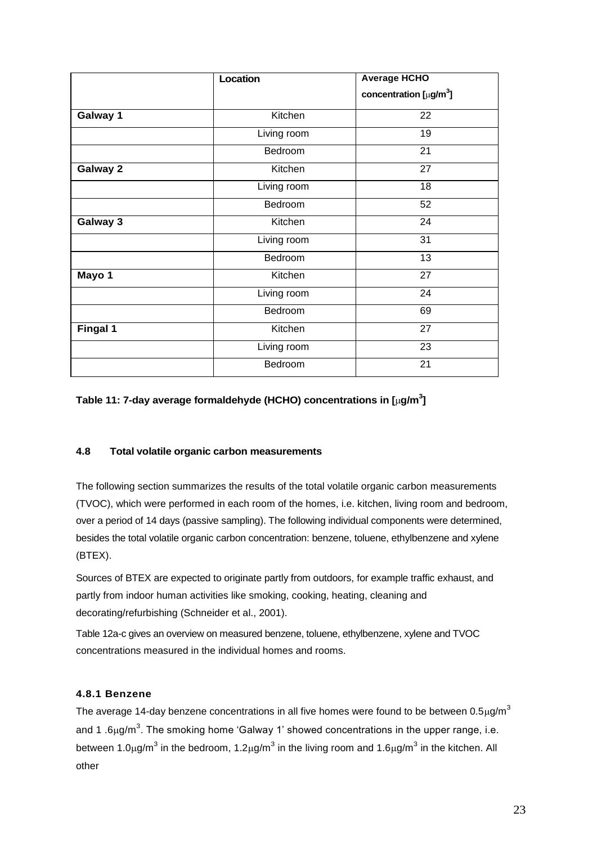|                 | <b>Location</b> | <b>Average HCHO</b>         |
|-----------------|-----------------|-----------------------------|
|                 |                 | concentration $[\mu g/m^3]$ |
| Galway 1        | Kitchen         | 22                          |
|                 | Living room     | 19                          |
|                 | Bedroom         | 21                          |
| Galway 2        | Kitchen         | 27                          |
|                 | Living room     | 18                          |
|                 | Bedroom         | 52                          |
| Galway 3        | Kitchen         | 24                          |
|                 | Living room     | 31                          |
|                 | Bedroom         | 13                          |
| Mayo 1          | Kitchen         | 27                          |
|                 | Living room     | 24                          |
|                 | Bedroom         | 69                          |
| <b>Fingal 1</b> | Kitchen         | 27                          |
|                 | Living room     | 23                          |
|                 | Bedroom         | 21                          |

#### **Table 11: 7-day average formaldehyde (HCHO) concentrations in [g/m<sup>3</sup> ]**

#### **4.8 Total volatile organic carbon measurements**

The following section summarizes the results of the total volatile organic carbon measurements (TVOC), which were performed in each room of the homes, i.e. kitchen, living room and bedroom, over a period of 14 days (passive sampling). The following individual components were determined, besides the total volatile organic carbon concentration: benzene, toluene, ethylbenzene and xylene (BTEX).

Sources of BTEX are expected to originate partly from outdoors, for example traffic exhaust, and partly from indoor human activities like smoking, cooking, heating, cleaning and decorating/refurbishing (Schneider et al., 2001).

Table 12a-c gives an overview on measured benzene, toluene, ethylbenzene, xylene and TVOC concentrations measured in the individual homes and rooms.

#### **4.8.1 Benzene**

The average 14-day benzene concentrations in all five homes were found to be between 0.5 $\mu$ g/m<sup>3</sup> and 1 .6 $\mu$ g/m<sup>3</sup>. The smoking home 'Galway 1' showed concentrations in the upper range, i.e. between 1.0µg/m<sup>3</sup> in the bedroom, 1.2µg/m<sup>3</sup> in the living room and 1.6µg/m<sup>3</sup> in the kitchen. All other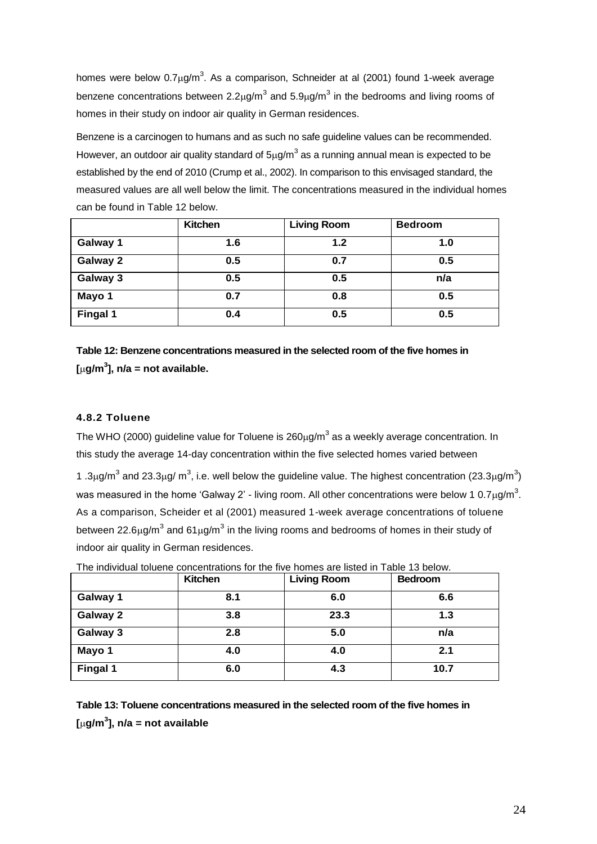homes were below 0.7 $\mu$ g/m<sup>3</sup>. As a comparison, Schneider at al (2001) found 1-week average benzene concentrations between 2.2 $\mu$ g/m<sup>3</sup> and 5.9 $\mu$ g/m<sup>3</sup> in the bedrooms and living rooms of homes in their study on indoor air quality in German residences.

Benzene is a carcinogen to humans and as such no safe guideline values can be recommended. However, an outdoor air quality standard of  $5\mu g/m^3$  as a running annual mean is expected to be established by the end of 2010 (Crump et al., 2002). In comparison to this envisaged standard, the measured values are all well below the limit. The concentrations measured in the individual homes can be found in Table 12 below.

|                 | <b>Kitchen</b> | <b>Living Room</b> | <b>Bedroom</b> |
|-----------------|----------------|--------------------|----------------|
| Galway 1        | 1.6            | 1.2                | 1.0            |
| Galway 2        | 0.5            | 0.7                | 0.5            |
| Galway 3        | 0.5            | 0.5                | n/a            |
| Mayo 1          | 0.7            | 0.8                | 0.5            |
| <b>Fingal 1</b> | 0.4            | 0.5                | 0.5            |

**Table 12: Benzene concentrations measured in the selected room of the five homes in [g/m<sup>3</sup> ], n/a = not available.**

#### **4.8.2 Toluene**

The WHO (2000) guideline value for Toluene is 260 $\mu$ g/m<sup>3</sup> as a weekly average concentration. In this study the average 14-day concentration within the five selected homes varied between

1.3 $\mu$ g/m<sup>3</sup> and 23.3 $\mu$ g/ m<sup>3</sup>, i.e. well below the guideline value. The highest concentration (23.3 $\mu$ g/m<sup>3</sup>) was measured in the home 'Galway 2' - living room. All other concentrations were below 1 0.7 $\mu$ g/m<sup>3</sup>. As a comparison, Scheider et al (2001) measured 1-week average concentrations of toluene between 22.6 $\mu$ g/m<sup>3</sup> and 61 $\mu$ g/m<sup>3</sup> in the living rooms and bedrooms of homes in their study of indoor air quality in German residences.

|          | <b>Kitchen</b> | <b>Living Room</b> | <b>Bedroom</b> |
|----------|----------------|--------------------|----------------|
| Galway 1 | 8.1            | 6.0                | 6.6            |
| Galway 2 | 3.8            | 23.3               | 1.3            |
| Galway 3 | 2.8            | 5.0                | n/a            |
| Mayo 1   | 4.0            | 4.0                | 2.1            |
| Fingal 1 | 6.0            | 4.3                | 10.7           |

The individual toluene concentrations for the five homes are listed in Table 13 below.

**Table 13: Toluene concentrations measured in the selected room of the five homes in [g/m<sup>3</sup> ], n/a = not available**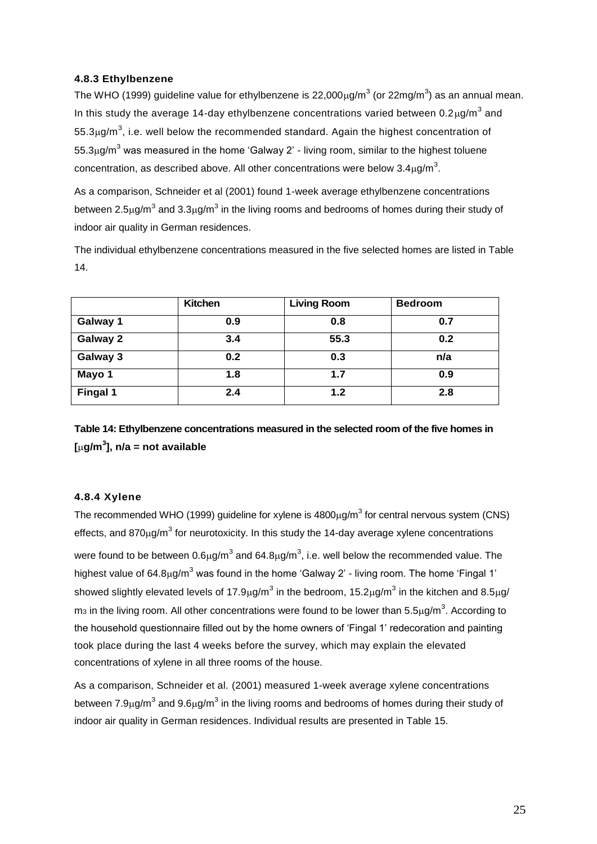#### **4.8.3 Ethylbenzene**

The WHO (1999) guideline value for ethylbenzene is 22,000µg/m<sup>3</sup> (or 22mg/m<sup>3</sup>) as an annual mean. In this study the average 14-day ethylbenzene concentrations varied between 0.2 $\mu$ g/m<sup>3</sup> and  $55.3 \mu$ g/m<sup>3</sup>, i.e. well below the recommended standard. Again the highest concentration of  $55.3\mu$ g/m<sup>3</sup> was measured in the home 'Galway 2' - living room, similar to the highest toluene concentration, as described above. All other concentrations were below  $3.4 \mu$ g/m<sup>3</sup>.

As a comparison, Schneider et al (2001) found 1-week average ethylbenzene concentrations between 2.5 $\mu$ g/m<sup>3</sup> and 3.3 $\mu$ g/m<sup>3</sup> in the living rooms and bedrooms of homes during their study of indoor air quality in German residences.

The individual ethylbenzene concentrations measured in the five selected homes are listed in Table 14.

|          | <b>Kitchen</b> | <b>Living Room</b> | <b>Bedroom</b> |
|----------|----------------|--------------------|----------------|
| Galway 1 | 0.9            | 0.8                | 0.7            |
| Galway 2 | 3.4            | 55.3               | 0.2            |
| Galway 3 | 0.2            | 0.3                | n/a            |
| Mayo 1   | 1.8            | 1.7                | 0.9            |
| Fingal 1 | 2.4            | 1.2                | 2.8            |

**Table 14: Ethylbenzene concentrations measured in the selected room of the five homes in [g/m<sup>3</sup> ], n/a = not available**

#### **4.8.4 Xylene**

The recommended WHO (1999) guideline for xylene is  $4800 \mu g/m<sup>3</sup>$  for central nervous system (CNS) effects, and 870 $\mu$ g/m<sup>3</sup> for neurotoxicity. In this study the 14-day average xylene concentrations were found to be between 0.6µg/m<sup>3</sup> and 64.8µg/m<sup>3</sup>, i.e. well below the recommended value. The highest value of 64.8 $\mu$ g/m<sup>3</sup> was found in the home 'Galway 2' - living room. The home 'Fingal 1' showed slightly elevated levels of 17.9µg/m<sup>3</sup> in the bedroom, 15.2µg/m<sup>3</sup> in the kitchen and 8.5µg/ m<sub>3</sub> in the living room. All other concentrations were found to be lower than 5.5 $\mu$ g/m<sup>3</sup>. According to the household questionnaire filled out by the home owners of 'Fingal 1' redecoration and painting took place during the last 4 weeks before the survey, which may explain the elevated concentrations of xylene in all three rooms of the house.

As a comparison, Schneider et al. (2001) measured 1-week average xylene concentrations between 7.9 $\mu$ g/m<sup>3</sup> and 9.6 $\mu$ g/m<sup>3</sup> in the living rooms and bedrooms of homes during their study of indoor air quality in German residences. Individual results are presented in Table 15.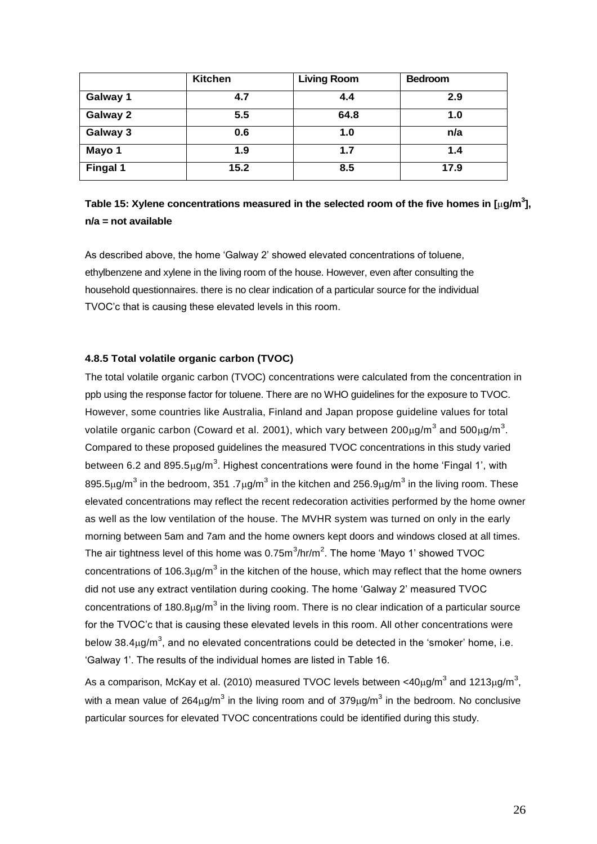|          | <b>Kitchen</b> | <b>Living Room</b> | <b>Bedroom</b> |
|----------|----------------|--------------------|----------------|
| Galway 1 | 4.7            | 4.4                | 2.9            |
| Galway 2 | 5.5            | 64.8               | 1.0            |
| Galway 3 | 0.6            | 1.0                | n/a            |
| Mayo 1   | 1.9            | 1.7                | 1.4            |
| Fingal 1 | 15.2           | 8.5                | 17.9           |

### **Table 15: Xylene concentrations measured in the selected room of the five homes in [g/m<sup>3</sup> ], n/a = not available**

As described above, the home 'Galway 2' showed elevated concentrations of toluene, ethylbenzene and xylene in the living room of the house. However, even after consulting the household questionnaires. there is no clear indication of a particular source for the individual TVOC'c that is causing these elevated levels in this room.

#### **4.8.5 Total volatile organic carbon (TVOC)**

The total volatile organic carbon (TVOC) concentrations were calculated from the concentration in ppb using the response factor for toluene. There are no WHO guidelines for the exposure to TVOC. However, some countries like Australia, Finland and Japan propose guideline values for total volatile organic carbon (Coward et al. 2001), which vary between 200 $\mu$ g/m<sup>3</sup> and 500 $\mu$ g/m<sup>3</sup>. Compared to these proposed guidelines the measured TVOC concentrations in this study varied between 6.2 and 895.5 $\mu$ g/m<sup>3</sup>. Highest concentrations were found in the home 'Fingal 1', with 895.5µg/m<sup>3</sup> in the bedroom, 351 .7µg/m<sup>3</sup> in the kitchen and 256.9µg/m<sup>3</sup> in the living room. These elevated concentrations may reflect the recent redecoration activities performed by the home owner as well as the low ventilation of the house. The MVHR system was turned on only in the early morning between 5am and 7am and the home owners kept doors and windows closed at all times. The air tightness level of this home was 0.75m $^3$ /hr/m<sup>2</sup>. The home 'Mayo 1' showed TVOC concentrations of 106.3 $\mu$ g/m<sup>3</sup> in the kitchen of the house, which may reflect that the home owners did not use any extract ventilation during cooking. The home 'Galway 2' measured TVOC concentrations of 180.8 $\mu$ g/m<sup>3</sup> in the living room. There is no clear indication of a particular source for the TVOC'c that is causing these elevated levels in this room. All other concentrations were below 38.4 $\mu$ g/m<sup>3</sup>, and no elevated concentrations could be detected in the 'smoker' home, i.e. 'Galway 1'. The results of the individual homes are listed in Table 16.

As a comparison, McKay et al. (2010) measured TVOC levels between <40 $\mu$ g/m<sup>3</sup> and 1213 $\mu$ g/m<sup>3</sup>, with a mean value of 264 $\mu$ g/m<sup>3</sup> in the living room and of 379 $\mu$ g/m<sup>3</sup> in the bedroom. No conclusive particular sources for elevated TVOC concentrations could be identified during this study.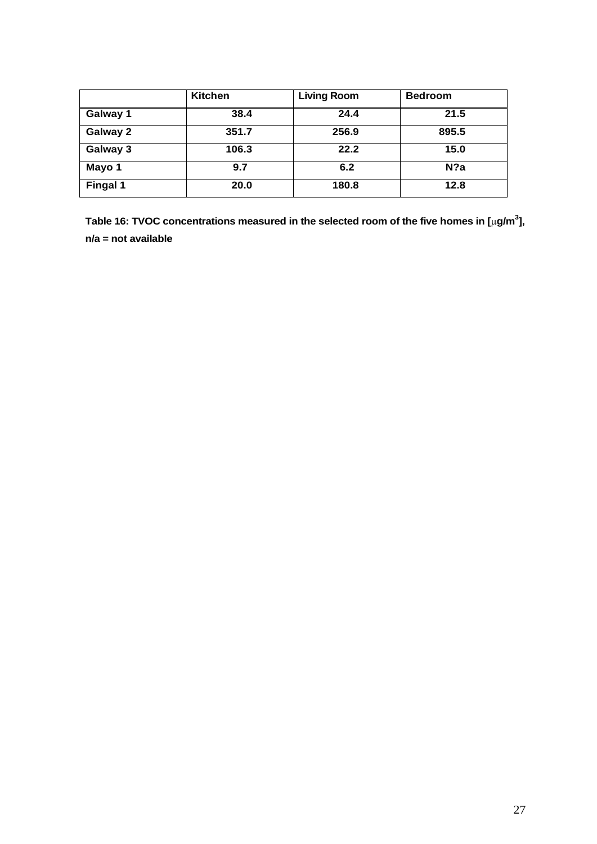|                 | Kitchen | <b>Living Room</b> | <b>Bedroom</b> |
|-----------------|---------|--------------------|----------------|
| Galway 1        | 38.4    | 24.4               | 21.5           |
| Galway 2        | 351.7   | 256.9              | 895.5          |
| Galway 3        | 106.3   | 22.2               | 15.0           |
| Mayo 1          | 9.7     | 6.2                | $N$ ?a         |
| <b>Fingal 1</b> | 20.0    | 180.8              | 12.8           |

**Table 16: TVOC concentrations measured in the selected room of the five homes in [g/m<sup>3</sup> ], n/a = not available**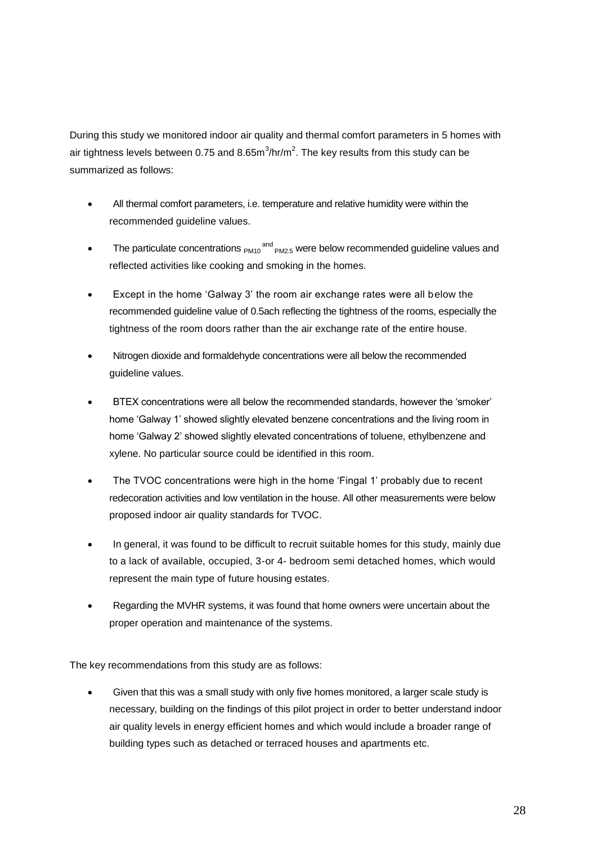During this study we monitored indoor air quality and thermal comfort parameters in 5 homes with air tightness levels between 0.75 and 8.65m $^3$ /hr/m<sup>2</sup>. The key results from this study can be summarized as follows:

- All thermal comfort parameters, i.e. temperature and relative humidity were within the recommended guideline values.
- The particulate concentrations  $_{PM10}$ <sup>and</sup>  $_{PM2.5}$  were below recommended guideline values and reflected activities like cooking and smoking in the homes.
- Except in the home 'Galway 3' the room air exchange rates were all below the recommended guideline value of 0.5ach reflecting the tightness of the rooms, especially the tightness of the room doors rather than the air exchange rate of the entire house.
- Nitrogen dioxide and formaldehyde concentrations were all below the recommended guideline values.
- BTEX concentrations were all below the recommended standards, however the 'smoker' home 'Galway 1' showed slightly elevated benzene concentrations and the living room in home 'Galway 2' showed slightly elevated concentrations of toluene, ethylbenzene and xylene. No particular source could be identified in this room.
- The TVOC concentrations were high in the home 'Fingal 1' probably due to recent redecoration activities and low ventilation in the house. All other measurements were below proposed indoor air quality standards for TVOC.
- In general, it was found to be difficult to recruit suitable homes for this study, mainly due to a lack of available, occupied, 3-or 4- bedroom semi detached homes, which would represent the main type of future housing estates.
- Regarding the MVHR systems, it was found that home owners were uncertain about the proper operation and maintenance of the systems.

The key recommendations from this study are as follows:

 Given that this was a small study with only five homes monitored, a larger scale study is necessary, building on the findings of this pilot project in order to better understand indoor air quality levels in energy efficient homes and which would include a broader range of building types such as detached or terraced houses and apartments etc.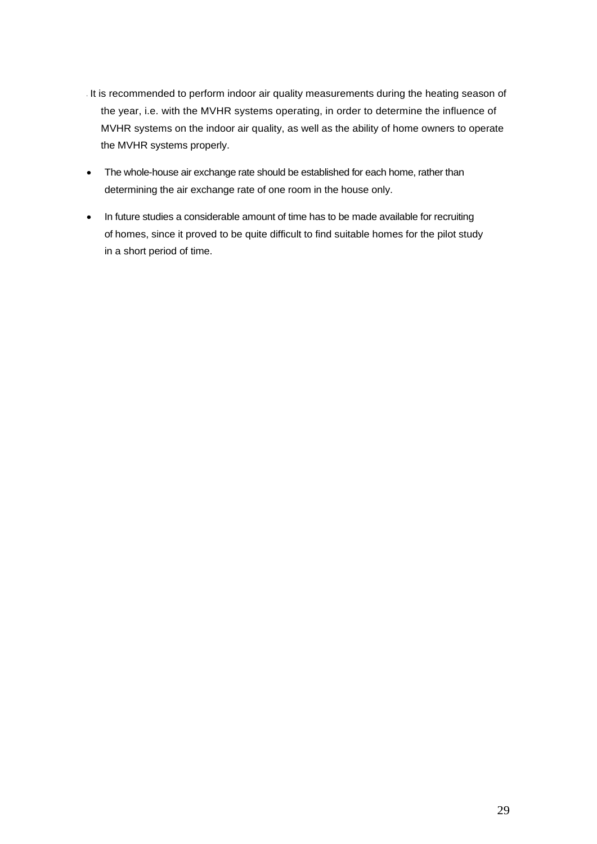- It is recommended to perform indoor air quality measurements during the heating season of the year, i.e. with the MVHR systems operating, in order to determine the influence of MVHR systems on the indoor air quality, as well as the ability of home owners to operate the MVHR systems properly.
- The whole-house air exchange rate should be established for each home, rather than determining the air exchange rate of one room in the house only.
- In future studies a considerable amount of time has to be made available for recruiting of homes, since it proved to be quite difficult to find suitable homes for the pilot study in a short period of time.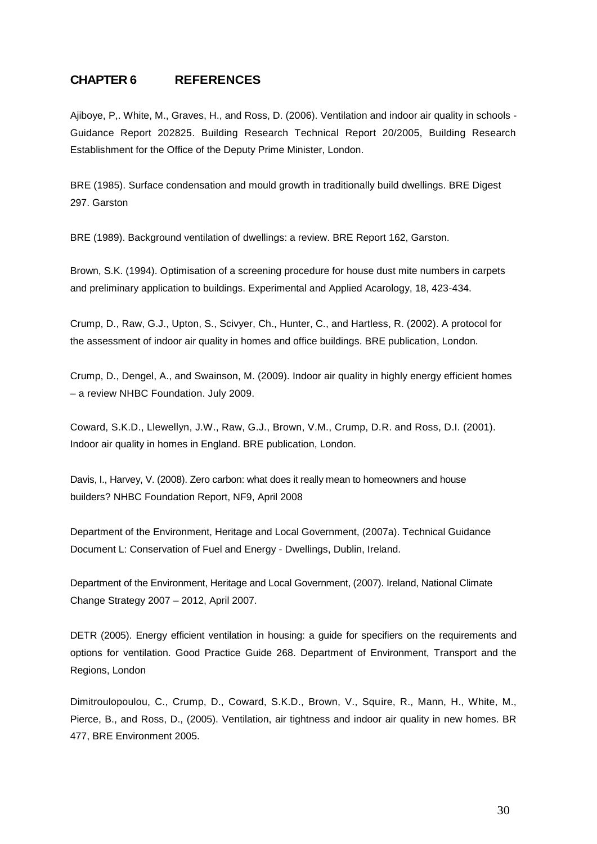### **CHAPTER 6 REFERENCES**

Ajiboye, P,. White, M., Graves, H., and Ross, D. (2006). Ventilation and indoor air quality in schools - Guidance Report 202825. Building Research Technical Report 20/2005, Building Research Establishment for the Office of the Deputy Prime Minister, London.

BRE (1985). Surface condensation and mould growth in traditionally build dwellings. BRE Digest 297. Garston

BRE (1989). Background ventilation of dwellings: a review. BRE Report 162, Garston.

Brown, S.K. (1994). Optimisation of a screening procedure for house dust mite numbers in carpets and preliminary application to buildings. Experimental and Applied Acarology, 18, 423-434.

Crump, D., Raw, G.J., Upton, S., Scivyer, Ch., Hunter, C., and Hartless, R. (2002). A protocol for the assessment of indoor air quality in homes and office buildings. BRE publication, London.

Crump, D., Dengel, A., and Swainson, M. (2009). Indoor air quality in highly energy efficient homes – a review NHBC Foundation. July 2009.

Coward, S.K.D., Llewellyn, J.W., Raw, G.J., Brown, V.M., Crump, D.R. and Ross, D.I. (2001). Indoor air quality in homes in England. BRE publication, London.

Davis, I., Harvey, V. (2008). Zero carbon: what does it really mean to homeowners and house builders? NHBC Foundation Report, NF9, April 2008

Department of the Environment, Heritage and Local Government, (2007a). Technical Guidance Document L: Conservation of Fuel and Energy - Dwellings, Dublin, Ireland.

Department of the Environment, Heritage and Local Government, (2007). Ireland, National Climate Change Strategy 2007 – 2012, April 2007.

DETR (2005). Energy efficient ventilation in housing: a guide for specifiers on the requirements and options for ventilation. Good Practice Guide 268. Department of Environment, Transport and the Regions, London

Dimitroulopoulou, C., Crump, D., Coward, S.K.D., Brown, V., Squire, R., Mann, H., White, M., Pierce, B., and Ross, D., (2005). Ventilation, air tightness and indoor air quality in new homes. BR 477, BRE Environment 2005.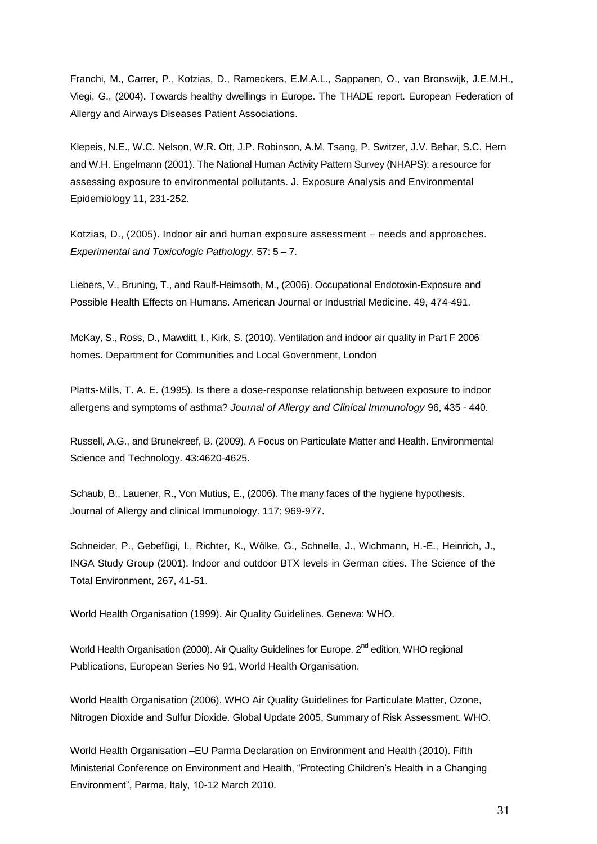Franchi, M., Carrer, P., Kotzias, D., Rameckers, E.M.A.L., Sappanen, O., van Bronswijk, J.E.M.H., Viegi, G., (2004). Towards healthy dwellings in Europe. The THADE report. European Federation of Allergy and Airways Diseases Patient Associations.

Klepeis, N.E., W.C. Nelson, W.R. Ott, J.P. Robinson, A.M. Tsang, P. Switzer, J.V. Behar, S.C. Hern and W.H. Engelmann (2001). The National Human Activity Pattern Survey (NHAPS): a resource for assessing exposure to environmental pollutants. J. Exposure Analysis and Environmental Epidemiology 11, 231-252.

Kotzias, D., (2005). Indoor air and human exposure assessment – needs and approaches. *Experimental and Toxicologic Pathology*. 57: 5 – 7.

Liebers, V., Bruning, T., and Raulf-Heimsoth, M., (2006). Occupational Endotoxin-Exposure and Possible Health Effects on Humans. American Journal or Industrial Medicine. 49, 474-491.

McKay, S., Ross, D., Mawditt, I., Kirk, S. (2010). Ventilation and indoor air quality in Part F 2006 homes. Department for Communities and Local Government, London

Platts-Mills, T. A. E. (1995). Is there a dose-response relationship between exposure to indoor allergens and symptoms of asthma? *Journal of Allergy and Clinical Immunology* 96, 435 - 440.

Russell, A.G., and Brunekreef, B. (2009). A Focus on Particulate Matter and Health. Environmental Science and Technology. 43:4620-4625.

Schaub, B., Lauener, R., Von Mutius, E., (2006). The many faces of the hygiene hypothesis. Journal of Allergy and clinical Immunology. 117: 969-977.

Schneider, P., Gebefügi, I., Richter, K., Wölke, G., Schnelle, J., Wichmann, H.-E., Heinrich, J., INGA Study Group (2001). Indoor and outdoor BTX levels in German cities. The Science of the Total Environment, 267, 41-51.

World Health Organisation (1999). Air Quality Guidelines. Geneva: WHO.

World Health Organisation (2000). Air Quality Guidelines for Europe. 2<sup>nd</sup> edition, WHO regional Publications, European Series No 91, World Health Organisation.

World Health Organisation (2006). WHO Air Quality Guidelines for Particulate Matter, Ozone, Nitrogen Dioxide and Sulfur Dioxide. Global Update 2005, Summary of Risk Assessment. WHO.

World Health Organisation –EU Parma Declaration on Environment and Health (2010). Fifth Ministerial Conference on Environment and Health, "Protecting Children's Health in a Changing Environment", Parma, Italy, 10-12 March 2010.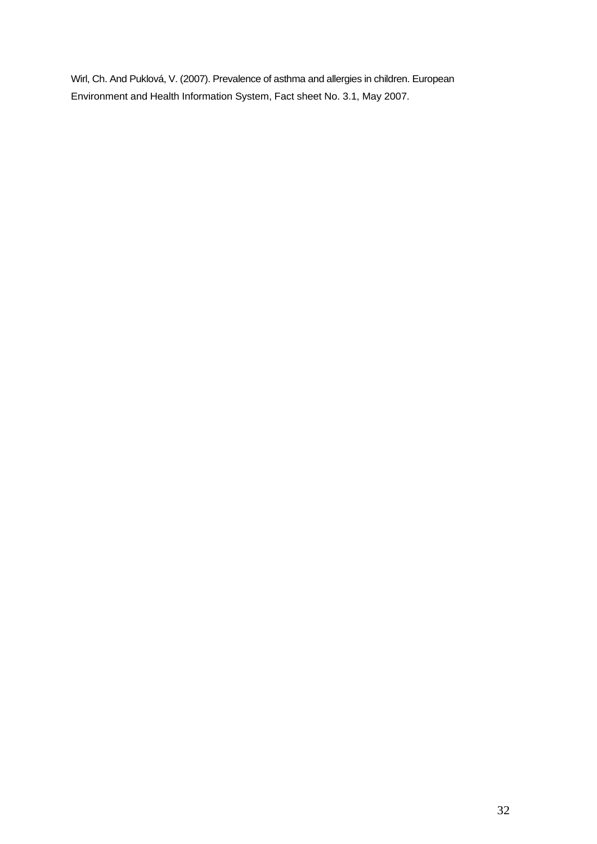Wirl, Ch. And Puklová, V. (2007). Prevalence of asthma and allergies in children. European Environment and Health Information System, Fact sheet No. 3.1, May 2007.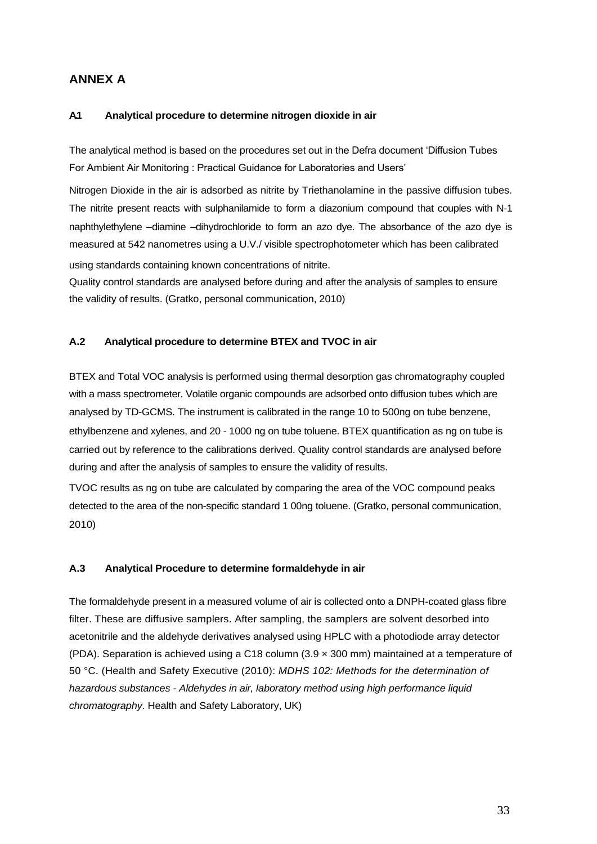### **ANNEX A**

#### **A.1 Analytical procedure to determine nitrogen dioxide in air**

The analytical method is based on the procedures set out in the Defra document 'Diffusion Tubes For Ambient Air Monitoring : Practical Guidance for Laboratories and Users'

Nitrogen Dioxide in the air is adsorbed as nitrite by Triethanolamine in the passive diffusion tubes. The nitrite present reacts with sulphanilamide to form a diazonium compound that couples with N‐1 naphthylethylene –diamine –dihydrochloride to form an azo dye. The absorbance of the azo dye is measured at 542 nanometres using a U.V./ visible spectrophotometer which has been calibrated using standards containing known concentrations of nitrite.

Quality control standards are analysed before during and after the analysis of samples to ensure the validity of results. (Gratko, personal communication, 2010)

#### **A.2 Analytical procedure to determine BTEX and TVOC in air**

BTEX and Total VOC analysis is performed using thermal desorption gas chromatography coupled with a mass spectrometer. Volatile organic compounds are adsorbed onto diffusion tubes which are analysed by TD‐GCMS. The instrument is calibrated in the range 10 to 500ng on tube benzene, ethylbenzene and xylenes, and 20 ‐ 1000 ng on tube toluene. BTEX quantification as ng on tube is carried out by reference to the calibrations derived. Quality control standards are analysed before during and after the analysis of samples to ensure the validity of results.

TVOC results as ng on tube are calculated by comparing the area of the VOC compound peaks detected to the area of the non-specific standard 1 00ng toluene. (Gratko, personal communication, 2010)

#### **A.3 Analytical Procedure to determine formaldehyde in air**

The formaldehyde present in a measured volume of air is collected onto a DNPH-coated glass fibre filter. These are diffusive samplers. After sampling, the samplers are solvent desorbed into acetonitrile and the aldehyde derivatives analysed using HPLC with a photodiode array detector (PDA). Separation is achieved using a C18 column  $(3.9 \times 300 \text{ mm})$  maintained at a temperature of 50 °C. (Health and Safety Executive (2010): *MDHS 102: Methods for the determination of hazardous substances - Aldehydes in air, laboratory method using high performance liquid chromatography*. Health and Safety Laboratory, UK)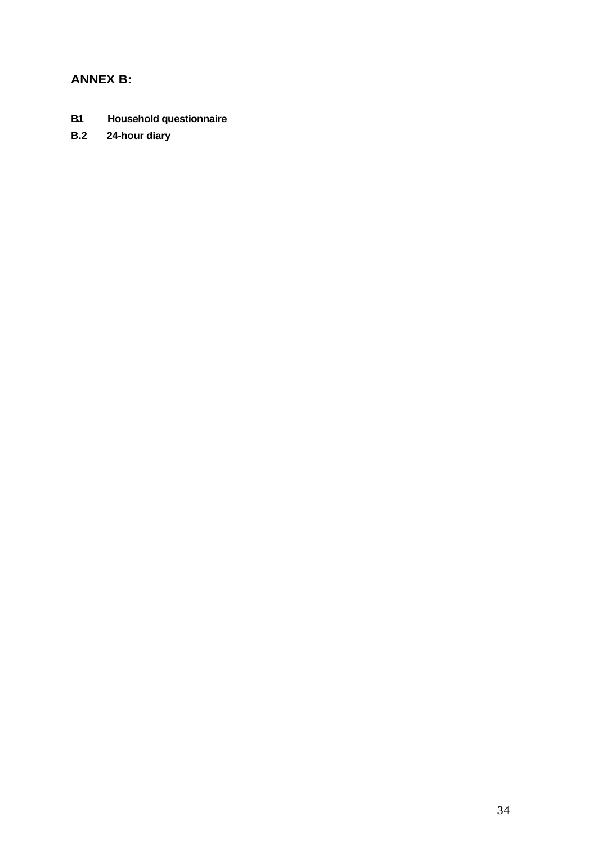### **ANNEX B:**

- **B.1 Household questionnaire**
- **B.2 24-hour diary**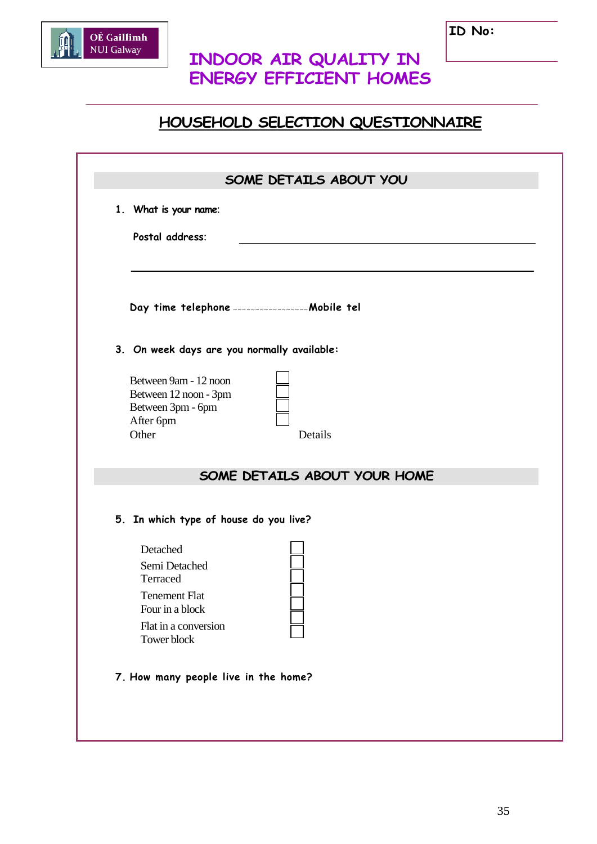

# **INDOOR AIR QUALITY IN ENERGY EFFICIENT HOMES**

# **HOUSEHOLD SELECTION QUESTIONNAIRE**

|                                                                                                                         | SOME DETAILS ABOUT YOU       |
|-------------------------------------------------------------------------------------------------------------------------|------------------------------|
| 1. What is your name:                                                                                                   |                              |
| Postal address:                                                                                                         |                              |
| Day time telephone <b>continuous</b> mobile tel                                                                         |                              |
| 3. On week days are you normally available:                                                                             |                              |
| Between 9am - 12 noon<br>Between 12 noon - 3pm<br>Between 3pm - 6pm<br>After 6pm<br>Other                               | Details                      |
|                                                                                                                         | SOME DETAILS ABOUT YOUR HOME |
| 5. In which type of house do you live?                                                                                  |                              |
| Detached<br>Semi Detached<br>Terraced<br><b>Tenement Flat</b><br>Four in a block<br>Flat in a conversion<br>Tower block |                              |
| 7. How many people live in the home?                                                                                    |                              |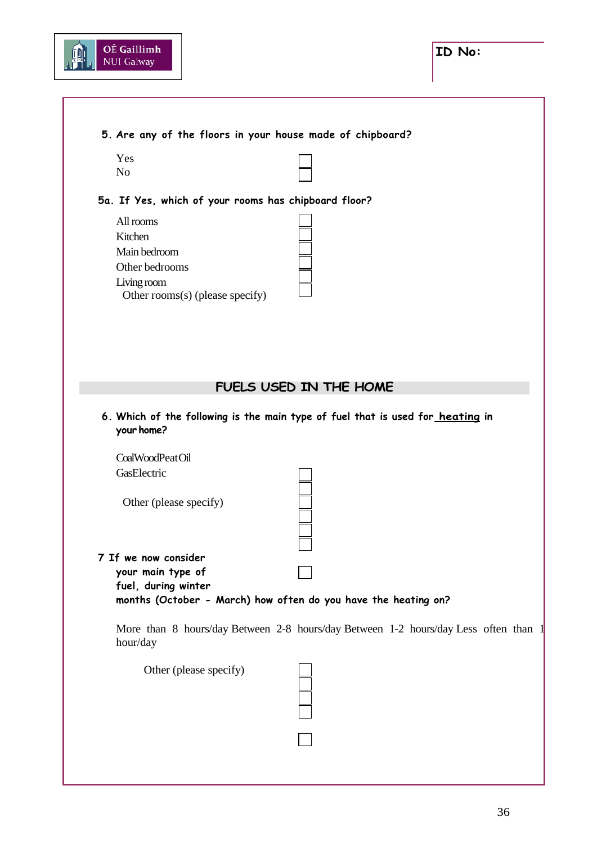

### **5. Are any of the floors in your house made of chipboard?**

| Ľ |  |
|---|--|
|   |  |

#### **5a. If Yes, which of your rooms has chipboard floor?**

All rooms Kitchen Main bedroom Other bedrooms Living room Other rooms(s) (please specify)

### **FUELS USED IN THE HOME**

**6. Which of the following is the main type of fuel that is used for heating in your home?**

CoalWoodPeatOil **GasElectric** 

Other (please specify)

#### **7 If we now consider**

**your main type of fuel, during winter** 

**months (October - March) how often do you have the heating on?**

More than 8 hours/day Between 2-8 hours/day Between 1-2 hours/day Less often than 1 hour/day

Other (please specify)

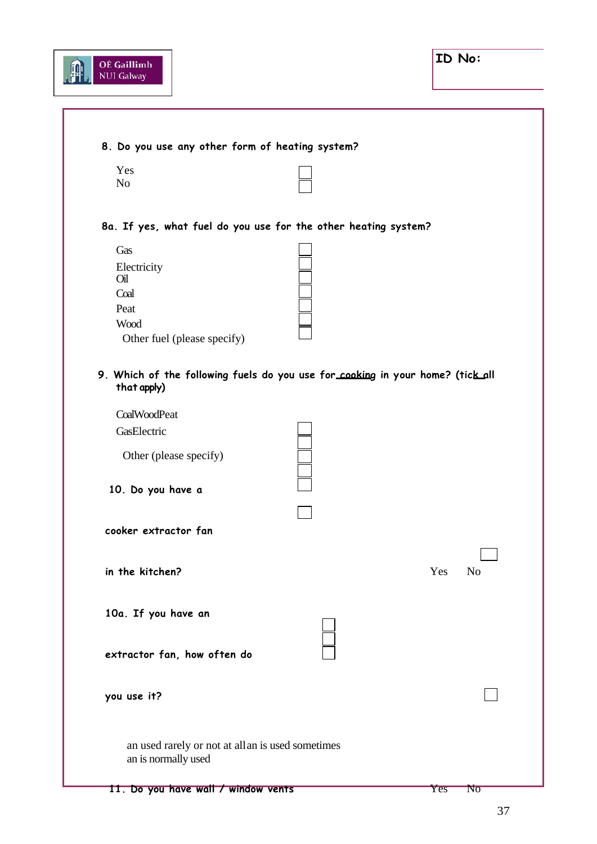

| Yes                                                                                           |                                                   |                       |
|-----------------------------------------------------------------------------------------------|---------------------------------------------------|-----------------------|
| N <sub>o</sub>                                                                                |                                                   |                       |
| 8a. If yes, what fuel do you use for the other heating system?                                |                                                   |                       |
| Gas                                                                                           |                                                   |                       |
| Electricity<br>Oil                                                                            |                                                   |                       |
| Coal                                                                                          |                                                   |                       |
| Peat                                                                                          |                                                   |                       |
| Wood                                                                                          |                                                   |                       |
| Other fuel (please specify)                                                                   |                                                   |                       |
| 9. Which of the following fuels do you use for cooking in your home? (tick all<br>that apply) |                                                   |                       |
| CoalWoodPeat                                                                                  |                                                   |                       |
| GasElectric                                                                                   |                                                   |                       |
| Other (please specify)                                                                        |                                                   |                       |
| 10. Do you have a                                                                             |                                                   |                       |
|                                                                                               |                                                   |                       |
| cooker extractor fan                                                                          |                                                   |                       |
|                                                                                               |                                                   |                       |
|                                                                                               |                                                   |                       |
| in the kitchen?                                                                               |                                                   | Yes<br>N <sub>o</sub> |
|                                                                                               |                                                   |                       |
| 10a. If you have an                                                                           |                                                   |                       |
|                                                                                               |                                                   |                       |
| extractor fan, how often do                                                                   |                                                   |                       |
|                                                                                               |                                                   |                       |
| you use it?                                                                                   |                                                   |                       |
|                                                                                               |                                                   |                       |
|                                                                                               |                                                   |                       |
|                                                                                               | an used rarely or not at all an is used sometimes |                       |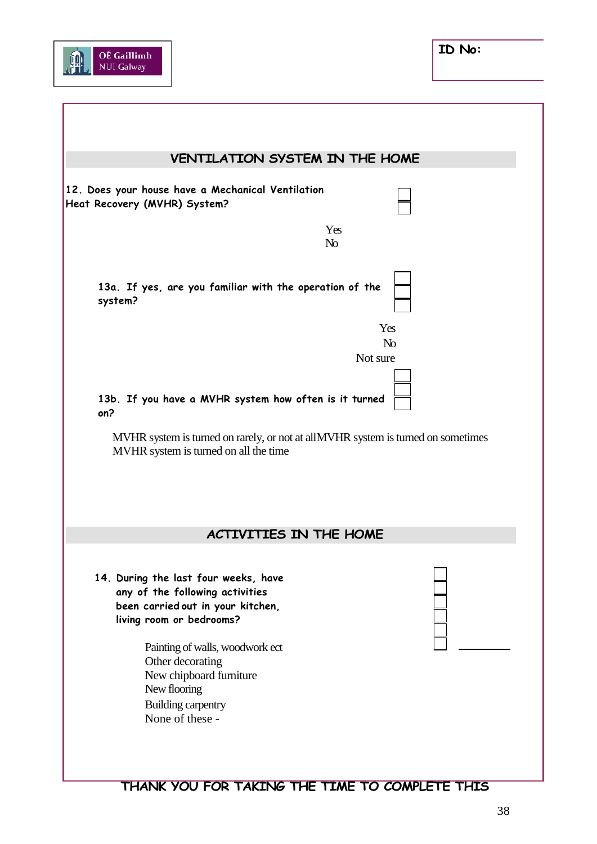

|                                                                                                                                          | VENTILATION SYSTEM IN THE HOME    |
|------------------------------------------------------------------------------------------------------------------------------------------|-----------------------------------|
| 12. Does your house have a Mechanical Ventilation<br>Heat Recovery (MVHR) System?                                                        |                                   |
|                                                                                                                                          | Yes<br>N <sub>o</sub>             |
| 13a. If yes, are you familiar with the operation of the<br>system?                                                                       |                                   |
|                                                                                                                                          | Yes<br>N <sub>o</sub><br>Not sure |
|                                                                                                                                          |                                   |
| 13b. If you have a MVHR system how often is it turned<br>on?                                                                             |                                   |
| MVHR system is turned on rarely, or not at allMVHR system is turned on sometimes                                                         |                                   |
| MVHR system is turned on all the time                                                                                                    |                                   |
| <b>ACTIVITIES IN THE HOME</b>                                                                                                            |                                   |
| 14. During the last four weeks, have<br>any of the following activities<br>been carried out in your kitchen,<br>living room or bedrooms? |                                   |

# **THANK YOU FOR TAKING THE TIME TO COMPLETE THIS**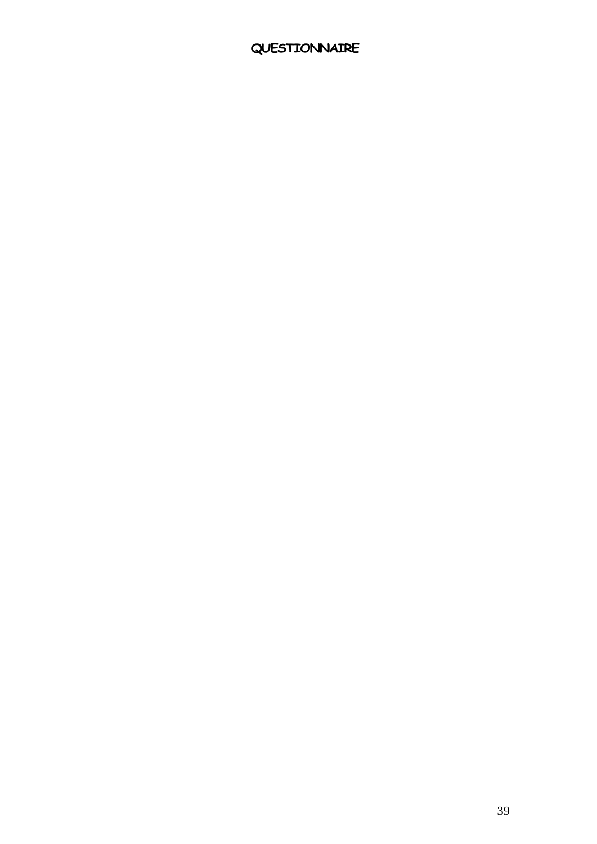# **QUESTIONNAIRE**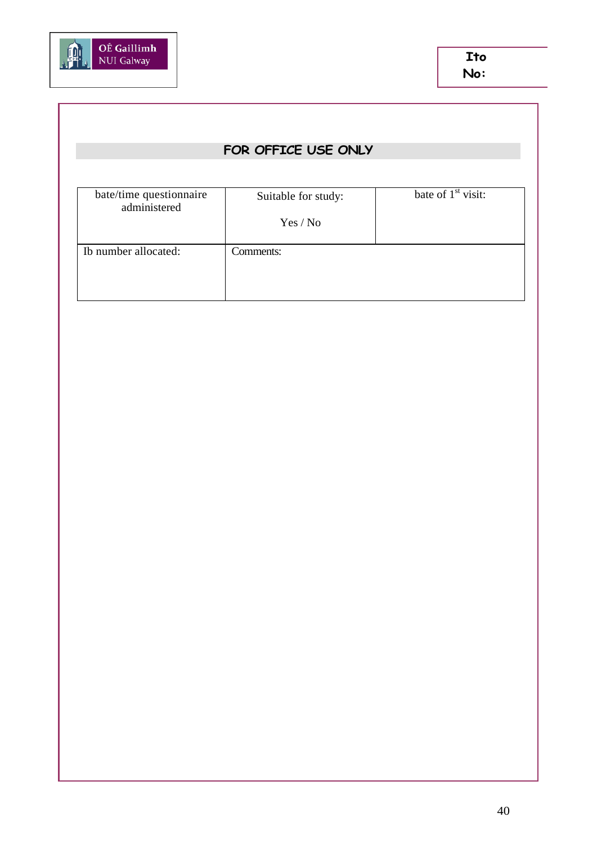

# **FOR OFFICE USE ONLY**

| Suitable for study: | bate of $1st$ visit: |
|---------------------|----------------------|
| Yes / No            |                      |
| Comments:           |                      |
|                     |                      |
|                     |                      |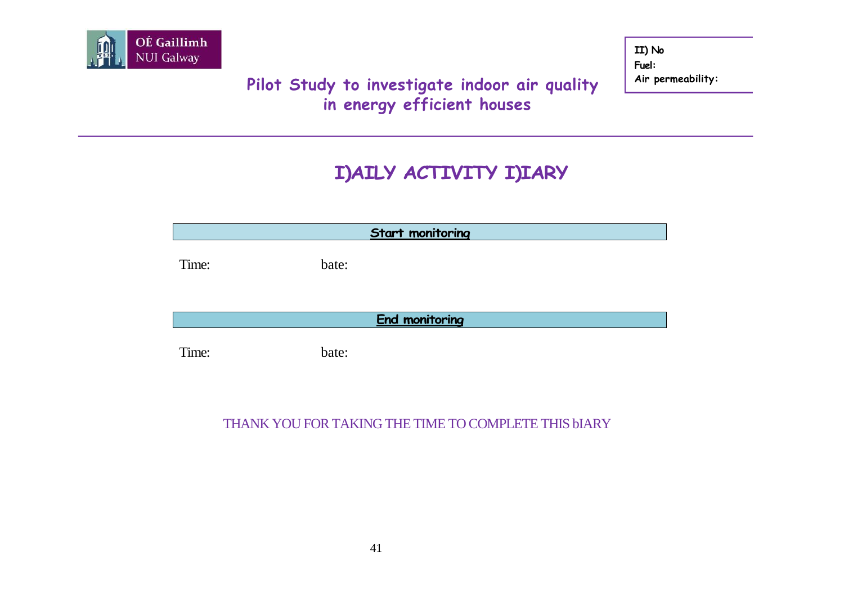

# **Pilot Study to investigate indoor air quality in energy efficient houses**

**II) No Fuel: Air permeability:**

# **I)AILY ACTIVITY I)IARY**

| <b>Start monitoring</b> |       |  |  |  |  |  |  |  |
|-------------------------|-------|--|--|--|--|--|--|--|
| Time:                   | bate: |  |  |  |  |  |  |  |
| <b>End monitoring</b>   |       |  |  |  |  |  |  |  |
| Time:                   | bate: |  |  |  |  |  |  |  |

### THANK YOU FOR TAKING THE TIME TO COMPLETE THIS bIARY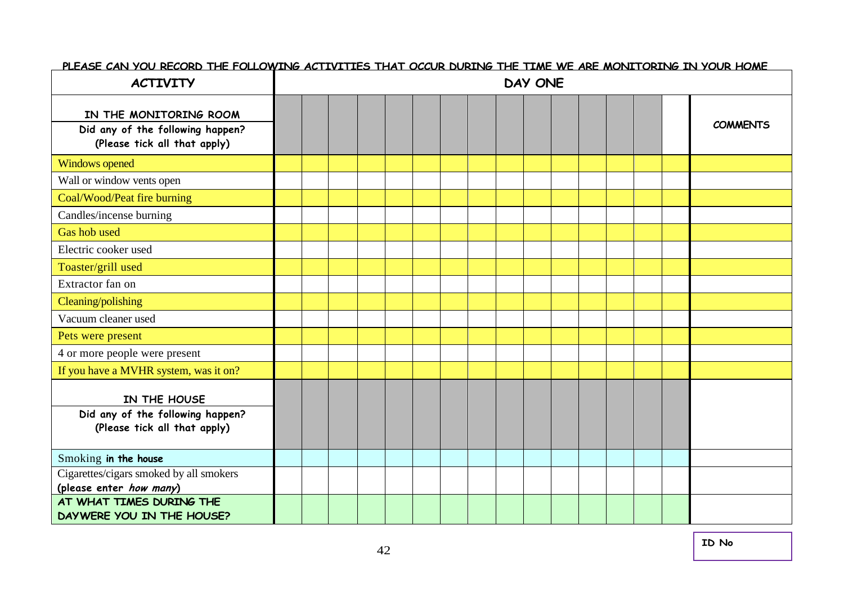| <b>ACTIVITY</b>                                                                            | <u>FLEASE CAN YOU RECORD THE FOLLOWING ACTIVITIES THAT OCCUR DURING THE TIME WE ARE MONITORING IN YOUR HOME</u><br>DAY ONE |  |  |  |  |  |  |  |  |  |  |  |  |  |                 |
|--------------------------------------------------------------------------------------------|----------------------------------------------------------------------------------------------------------------------------|--|--|--|--|--|--|--|--|--|--|--|--|--|-----------------|
| IN THE MONITORING ROOM<br>Did any of the following happen?<br>(Please tick all that apply) |                                                                                                                            |  |  |  |  |  |  |  |  |  |  |  |  |  | <b>COMMENTS</b> |
| <b>Windows opened</b>                                                                      |                                                                                                                            |  |  |  |  |  |  |  |  |  |  |  |  |  |                 |
| Wall or window vents open                                                                  |                                                                                                                            |  |  |  |  |  |  |  |  |  |  |  |  |  |                 |
| Coal/Wood/Peat fire burning                                                                |                                                                                                                            |  |  |  |  |  |  |  |  |  |  |  |  |  |                 |
| Candles/incense burning                                                                    |                                                                                                                            |  |  |  |  |  |  |  |  |  |  |  |  |  |                 |
| Gas hob used                                                                               |                                                                                                                            |  |  |  |  |  |  |  |  |  |  |  |  |  |                 |
| Electric cooker used                                                                       |                                                                                                                            |  |  |  |  |  |  |  |  |  |  |  |  |  |                 |
| Toaster/grill used                                                                         |                                                                                                                            |  |  |  |  |  |  |  |  |  |  |  |  |  |                 |
| Extractor fan on                                                                           |                                                                                                                            |  |  |  |  |  |  |  |  |  |  |  |  |  |                 |
| Cleaning/polishing                                                                         |                                                                                                                            |  |  |  |  |  |  |  |  |  |  |  |  |  |                 |
| Vacuum cleaner used                                                                        |                                                                                                                            |  |  |  |  |  |  |  |  |  |  |  |  |  |                 |
| Pets were present                                                                          |                                                                                                                            |  |  |  |  |  |  |  |  |  |  |  |  |  |                 |
| 4 or more people were present                                                              |                                                                                                                            |  |  |  |  |  |  |  |  |  |  |  |  |  |                 |
| If you have a MVHR system, was it on?                                                      |                                                                                                                            |  |  |  |  |  |  |  |  |  |  |  |  |  |                 |
| IN THE HOUSE<br>Did any of the following happen?<br>(Please tick all that apply)           |                                                                                                                            |  |  |  |  |  |  |  |  |  |  |  |  |  |                 |
|                                                                                            |                                                                                                                            |  |  |  |  |  |  |  |  |  |  |  |  |  |                 |
| Smoking in the house                                                                       |                                                                                                                            |  |  |  |  |  |  |  |  |  |  |  |  |  |                 |
| Cigarettes/cigars smoked by all smokers<br>(please enter how many)                         |                                                                                                                            |  |  |  |  |  |  |  |  |  |  |  |  |  |                 |
| AT WHAT TIMES DURING THE<br>DAYWERE YOU IN THE HOUSE?                                      |                                                                                                                            |  |  |  |  |  |  |  |  |  |  |  |  |  |                 |

#### **PLEASE CAN YOU RECORD THE FOLLOWING ACTIVITIES THAT OCCUR DURING THE TIME WE ARE MONITORING IN YOUR HOME**